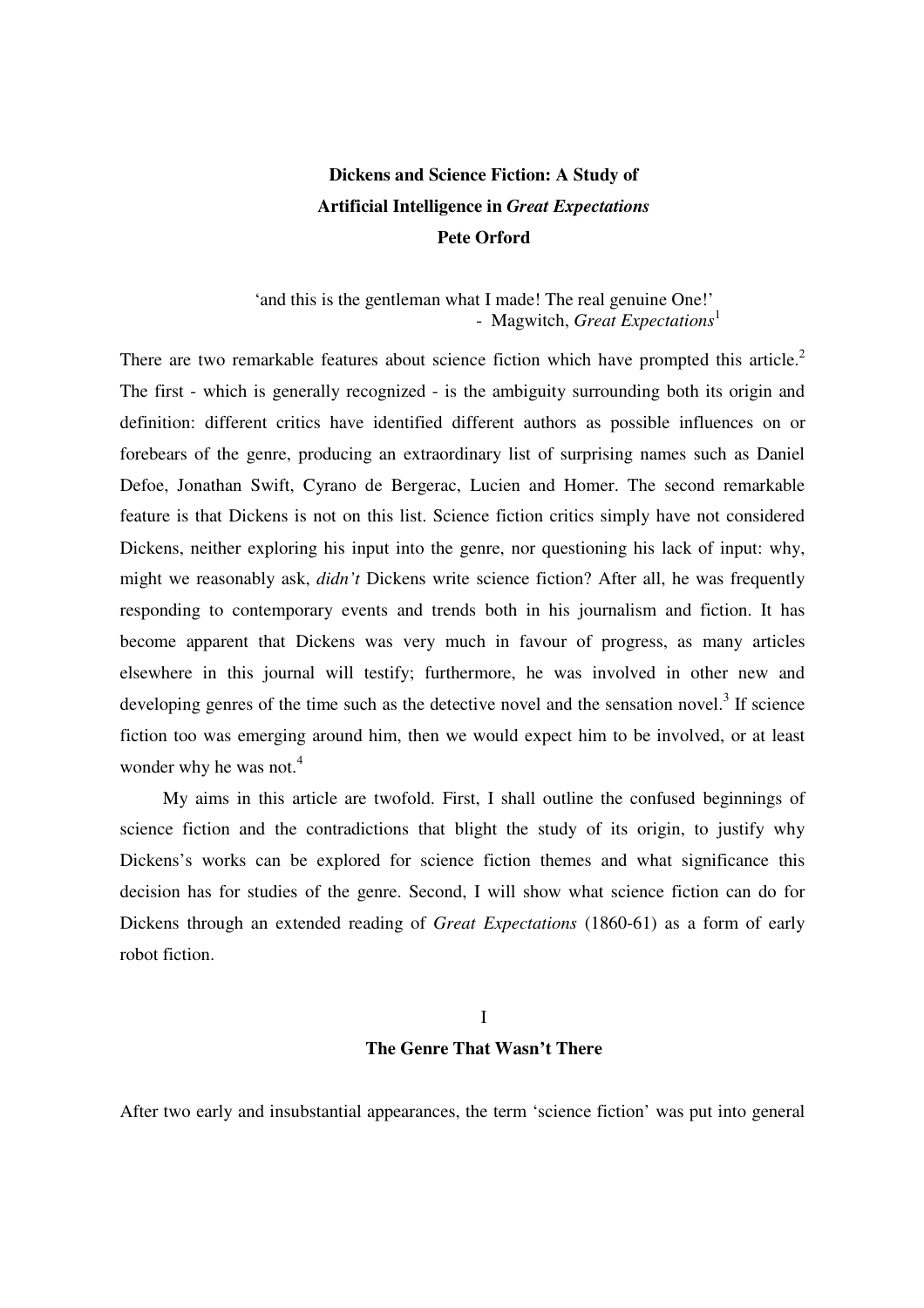# **Dickens and Science Fiction: A Study of Artificial Intelligence in** *Great Expectations*  **Pete Orford**

## 'and this is the gentleman what I made! The real genuine One!' - Magwitch, *Great Expectations*<sup>1</sup>

There are two remarkable features about science fiction which have prompted this article.<sup>2</sup> The first - which is generally recognized - is the ambiguity surrounding both its origin and definition: different critics have identified different authors as possible influences on or forebears of the genre, producing an extraordinary list of surprising names such as Daniel Defoe, Jonathan Swift, Cyrano de Bergerac, Lucien and Homer. The second remarkable feature is that Dickens is not on this list. Science fiction critics simply have not considered Dickens, neither exploring his input into the genre, nor questioning his lack of input: why, might we reasonably ask, *didn't* Dickens write science fiction? After all, he was frequently responding to contemporary events and trends both in his journalism and fiction. It has become apparent that Dickens was very much in favour of progress, as many articles elsewhere in this journal will testify; furthermore, he was involved in other new and developing genres of the time such as the detective novel and the sensation novel.<sup>3</sup> If science fiction too was emerging around him, then we would expect him to be involved, or at least wonder why he was not.<sup>4</sup>

My aims in this article are twofold. First, I shall outline the confused beginnings of science fiction and the contradictions that blight the study of its origin, to justify why Dickens's works can be explored for science fiction themes and what significance this decision has for studies of the genre. Second, I will show what science fiction can do for Dickens through an extended reading of *Great Expectations* (1860-61) as a form of early robot fiction.

# I **The Genre That Wasn't There**

After two early and insubstantial appearances, the term 'science fiction' was put into general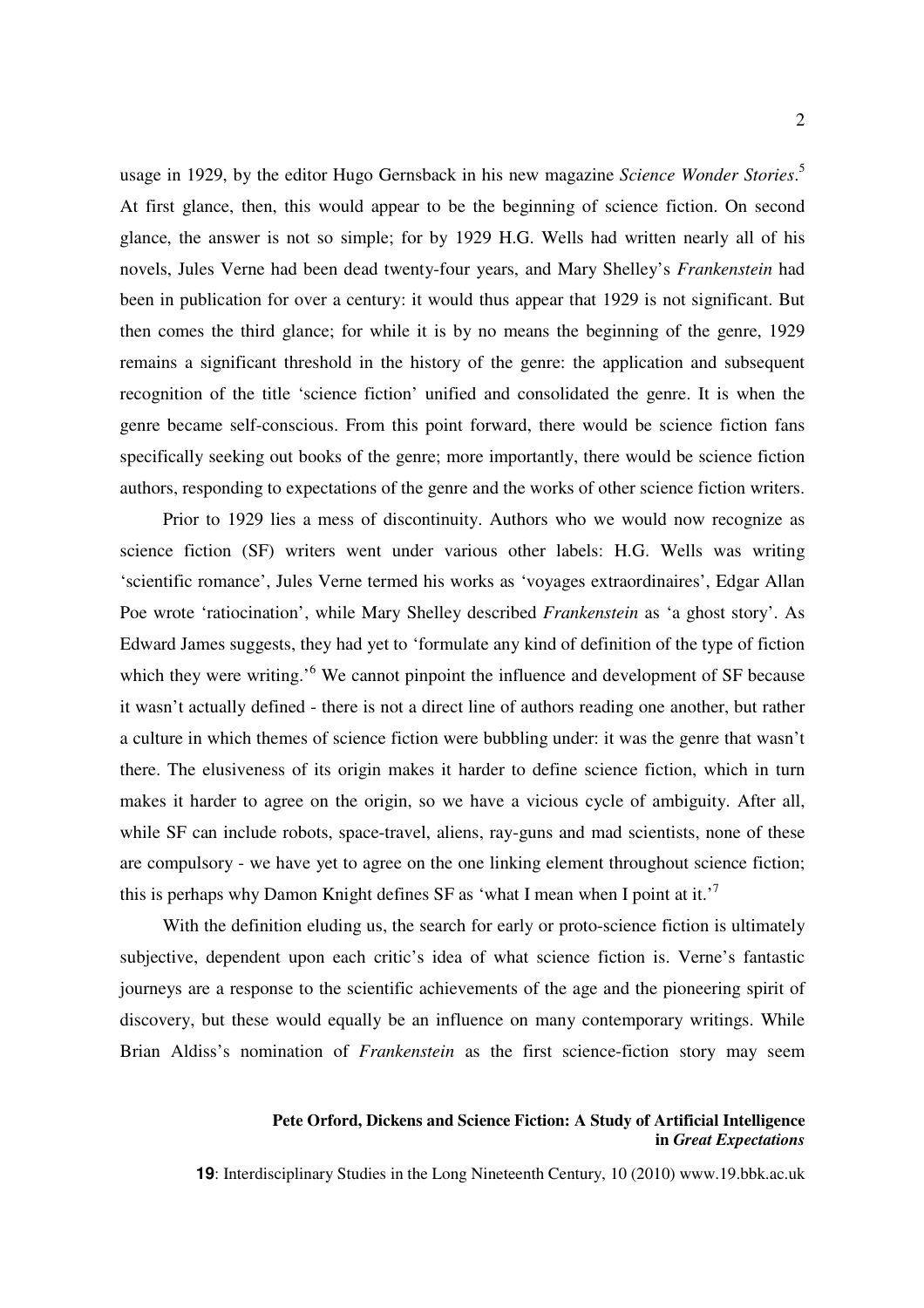usage in 1929, by the editor Hugo Gernsback in his new magazine *Science Wonder Stories*. 5 At first glance, then, this would appear to be the beginning of science fiction. On second glance, the answer is not so simple; for by 1929 H.G. Wells had written nearly all of his novels, Jules Verne had been dead twenty-four years, and Mary Shelley's *Frankenstein* had been in publication for over a century: it would thus appear that 1929 is not significant. But then comes the third glance; for while it is by no means the beginning of the genre, 1929 remains a significant threshold in the history of the genre: the application and subsequent recognition of the title 'science fiction' unified and consolidated the genre. It is when the genre became self-conscious. From this point forward, there would be science fiction fans specifically seeking out books of the genre; more importantly, there would be science fiction authors, responding to expectations of the genre and the works of other science fiction writers.

Prior to 1929 lies a mess of discontinuity. Authors who we would now recognize as science fiction (SF) writers went under various other labels: H.G. Wells was writing 'scientific romance', Jules Verne termed his works as 'voyages extraordinaires', Edgar Allan Poe wrote 'ratiocination', while Mary Shelley described *Frankenstein* as 'a ghost story'. As Edward James suggests, they had yet to 'formulate any kind of definition of the type of fiction which they were writing.<sup>56</sup> We cannot pinpoint the influence and development of SF because it wasn't actually defined - there is not a direct line of authors reading one another, but rather a culture in which themes of science fiction were bubbling under: it was the genre that wasn't there. The elusiveness of its origin makes it harder to define science fiction, which in turn makes it harder to agree on the origin, so we have a vicious cycle of ambiguity. After all, while SF can include robots, space-travel, aliens, ray-guns and mad scientists, none of these are compulsory - we have yet to agree on the one linking element throughout science fiction; this is perhaps why Damon Knight defines SF as 'what I mean when I point at it.<sup>'7</sup>

With the definition eluding us, the search for early or proto-science fiction is ultimately subjective, dependent upon each critic's idea of what science fiction is. Verne's fantastic journeys are a response to the scientific achievements of the age and the pioneering spirit of discovery, but these would equally be an influence on many contemporary writings. While Brian Aldiss's nomination of *Frankenstein* as the first science-fiction story may seem

### **Pete Orford, Dickens and Science Fiction: A Study of Artificial Intelligence in** *Great Expectations*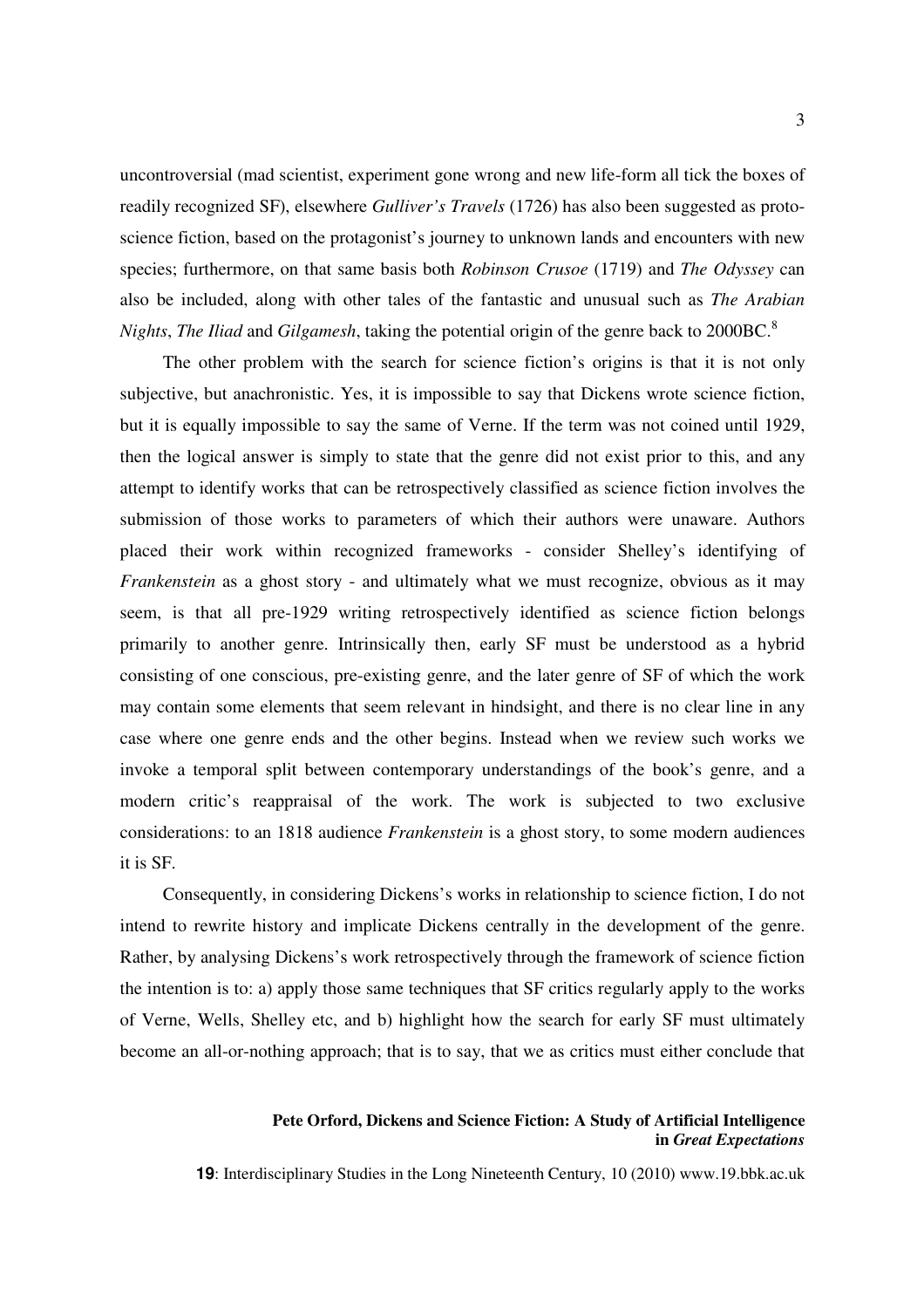uncontroversial (mad scientist, experiment gone wrong and new life-form all tick the boxes of readily recognized SF), elsewhere *Gulliver's Travels* (1726) has also been suggested as protoscience fiction, based on the protagonist's journey to unknown lands and encounters with new species; furthermore, on that same basis both *Robinson Crusoe* (1719) and *The Odyssey* can also be included, along with other tales of the fantastic and unusual such as *The Arabian Nights*, *The Iliad* and *Gilgamesh*, taking the potential origin of the genre back to 2000BC.<sup>8</sup>

The other problem with the search for science fiction's origins is that it is not only subjective, but anachronistic. Yes, it is impossible to say that Dickens wrote science fiction, but it is equally impossible to say the same of Verne. If the term was not coined until 1929, then the logical answer is simply to state that the genre did not exist prior to this, and any attempt to identify works that can be retrospectively classified as science fiction involves the submission of those works to parameters of which their authors were unaware. Authors placed their work within recognized frameworks - consider Shelley's identifying of *Frankenstein* as a ghost story - and ultimately what we must recognize, obvious as it may seem, is that all pre-1929 writing retrospectively identified as science fiction belongs primarily to another genre. Intrinsically then, early SF must be understood as a hybrid consisting of one conscious, pre-existing genre, and the later genre of SF of which the work may contain some elements that seem relevant in hindsight, and there is no clear line in any case where one genre ends and the other begins. Instead when we review such works we invoke a temporal split between contemporary understandings of the book's genre, and a modern critic's reappraisal of the work. The work is subjected to two exclusive considerations: to an 1818 audience *Frankenstein* is a ghost story, to some modern audiences it is SF.

Consequently, in considering Dickens's works in relationship to science fiction, I do not intend to rewrite history and implicate Dickens centrally in the development of the genre. Rather, by analysing Dickens's work retrospectively through the framework of science fiction the intention is to: a) apply those same techniques that SF critics regularly apply to the works of Verne, Wells, Shelley etc, and b) highlight how the search for early SF must ultimately become an all-or-nothing approach; that is to say, that we as critics must either conclude that

### **Pete Orford, Dickens and Science Fiction: A Study of Artificial Intelligence in** *Great Expectations*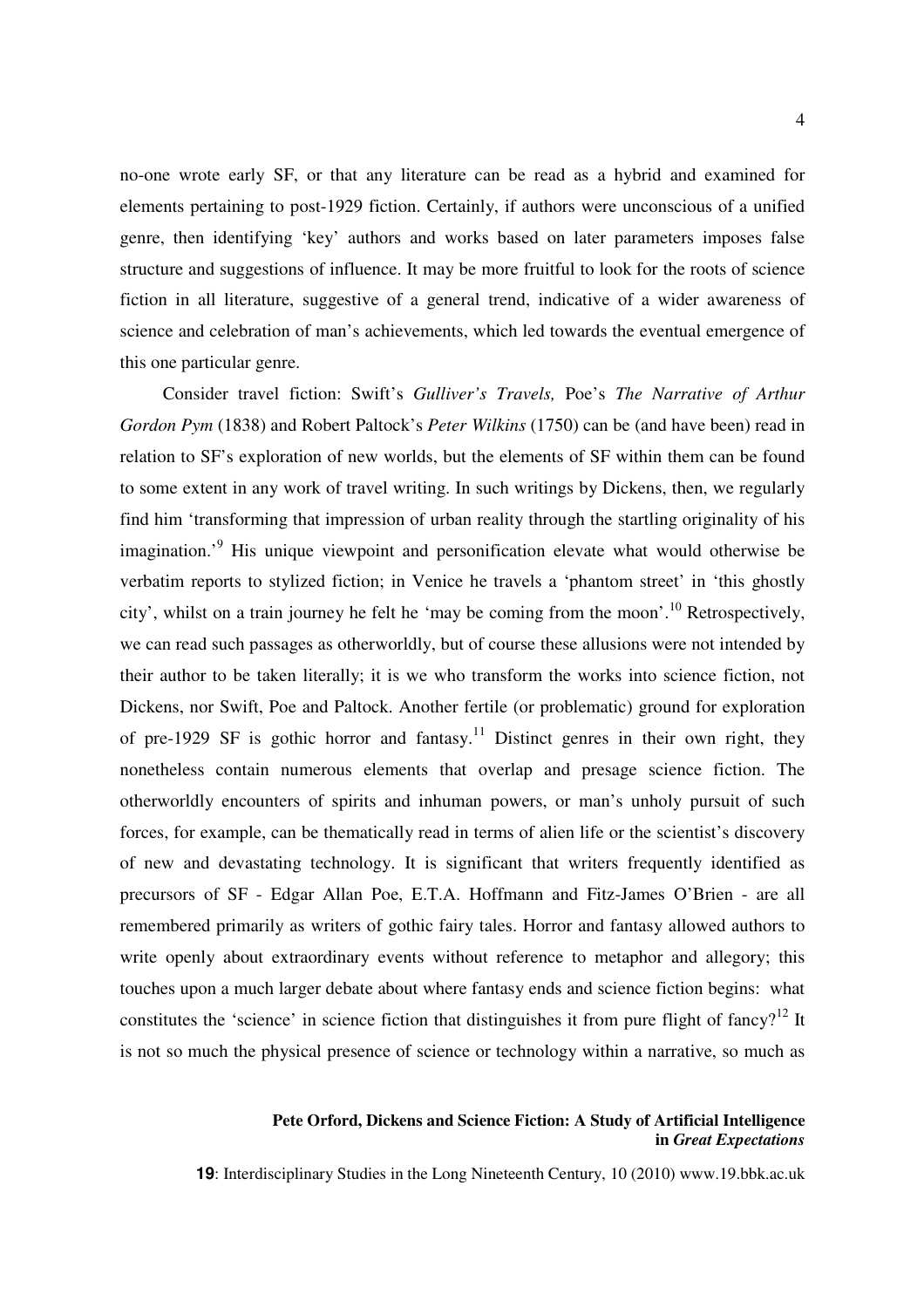no-one wrote early SF, or that any literature can be read as a hybrid and examined for elements pertaining to post-1929 fiction. Certainly, if authors were unconscious of a unified genre, then identifying 'key' authors and works based on later parameters imposes false structure and suggestions of influence. It may be more fruitful to look for the roots of science fiction in all literature, suggestive of a general trend, indicative of a wider awareness of science and celebration of man's achievements, which led towards the eventual emergence of this one particular genre.

Consider travel fiction: Swift's *Gulliver's Travels,* Poe's *The Narrative of Arthur Gordon Pym* (1838) and Robert Paltock's *Peter Wilkins* (1750) can be (and have been) read in relation to SF's exploration of new worlds, but the elements of SF within them can be found to some extent in any work of travel writing. In such writings by Dickens, then, we regularly find him 'transforming that impression of urban reality through the startling originality of his imagination.<sup>9</sup> His unique viewpoint and personification elevate what would otherwise be verbatim reports to stylized fiction; in Venice he travels a 'phantom street' in 'this ghostly city', whilst on a train journey he felt he 'may be coming from the moon'.<sup>10</sup> Retrospectively, we can read such passages as otherworldly, but of course these allusions were not intended by their author to be taken literally; it is we who transform the works into science fiction, not Dickens, nor Swift, Poe and Paltock. Another fertile (or problematic) ground for exploration of pre-1929 SF is gothic horror and fantasy.<sup>11</sup> Distinct genres in their own right, they nonetheless contain numerous elements that overlap and presage science fiction. The otherworldly encounters of spirits and inhuman powers, or man's unholy pursuit of such forces, for example, can be thematically read in terms of alien life or the scientist's discovery of new and devastating technology. It is significant that writers frequently identified as precursors of SF - Edgar Allan Poe, E.T.A. Hoffmann and Fitz-James O'Brien - are all remembered primarily as writers of gothic fairy tales. Horror and fantasy allowed authors to write openly about extraordinary events without reference to metaphor and allegory; this touches upon a much larger debate about where fantasy ends and science fiction begins: what constitutes the 'science' in science fiction that distinguishes it from pure flight of fancy?<sup>12</sup> It is not so much the physical presence of science or technology within a narrative, so much as

### **Pete Orford, Dickens and Science Fiction: A Study of Artificial Intelligence in** *Great Expectations*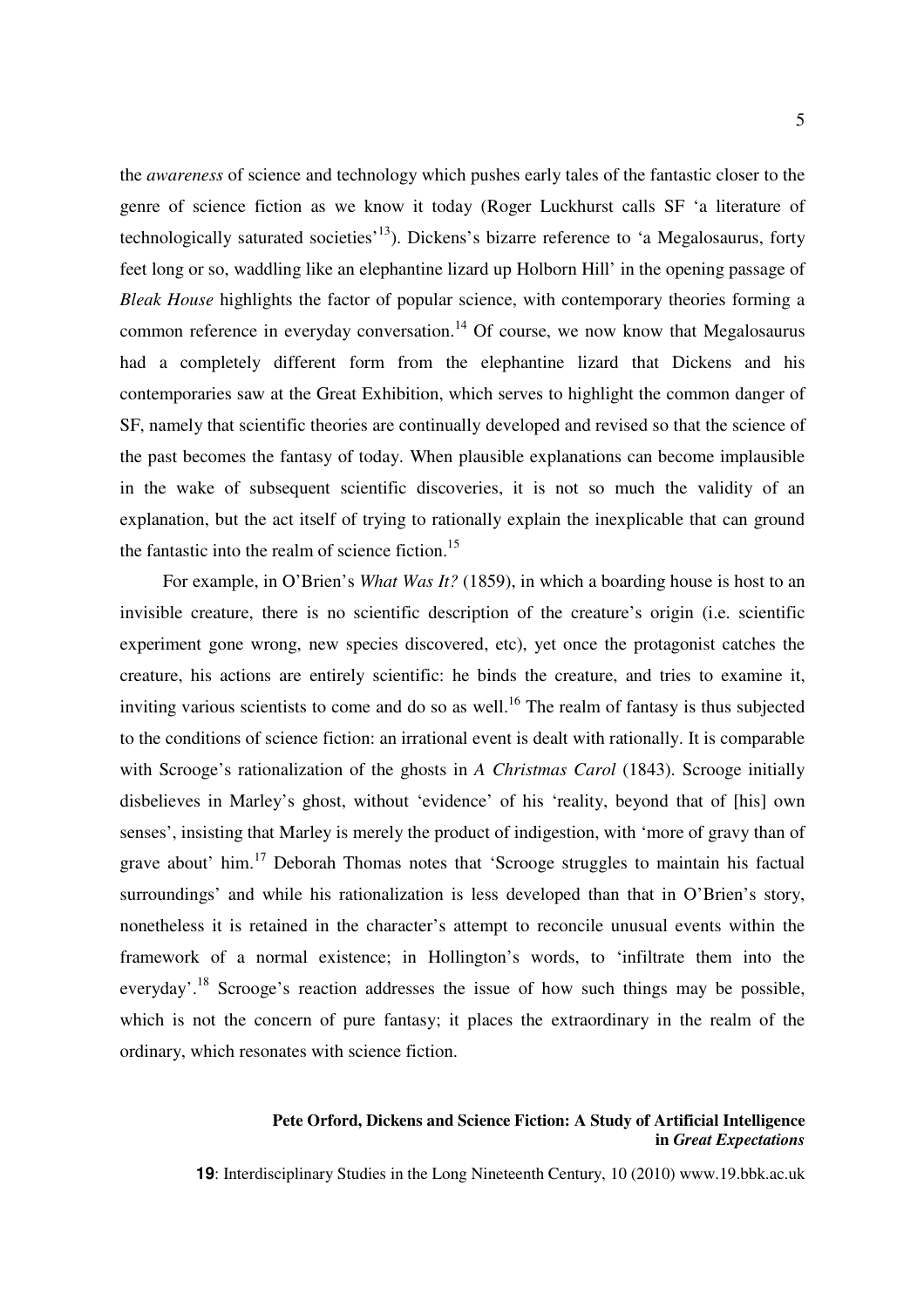the *awareness* of science and technology which pushes early tales of the fantastic closer to the genre of science fiction as we know it today (Roger Luckhurst calls SF 'a literature of technologically saturated societies<sup> $13$ </sup>). Dickens's bizarre reference to 'a Megalosaurus, forty feet long or so, waddling like an elephantine lizard up Holborn Hill' in the opening passage of *Bleak House* highlights the factor of popular science, with contemporary theories forming a common reference in everyday conversation.<sup>14</sup> Of course, we now know that Megalosaurus had a completely different form from the elephantine lizard that Dickens and his contemporaries saw at the Great Exhibition, which serves to highlight the common danger of SF, namely that scientific theories are continually developed and revised so that the science of the past becomes the fantasy of today. When plausible explanations can become implausible in the wake of subsequent scientific discoveries, it is not so much the validity of an explanation, but the act itself of trying to rationally explain the inexplicable that can ground the fantastic into the realm of science fiction.<sup>15</sup>

For example, in O'Brien's *What Was It?* (1859), in which a boarding house is host to an invisible creature, there is no scientific description of the creature's origin (i.e. scientific experiment gone wrong, new species discovered, etc), yet once the protagonist catches the creature, his actions are entirely scientific: he binds the creature, and tries to examine it, inviting various scientists to come and do so as well.<sup>16</sup> The realm of fantasy is thus subjected to the conditions of science fiction: an irrational event is dealt with rationally. It is comparable with Scrooge's rationalization of the ghosts in *A Christmas Carol* (1843). Scrooge initially disbelieves in Marley's ghost, without 'evidence' of his 'reality, beyond that of [his] own senses', insisting that Marley is merely the product of indigestion, with 'more of gravy than of grave about' him.<sup>17</sup> Deborah Thomas notes that 'Scrooge struggles to maintain his factual surroundings' and while his rationalization is less developed than that in O'Brien's story, nonetheless it is retained in the character's attempt to reconcile unusual events within the framework of a normal existence; in Hollington's words, to 'infiltrate them into the everyday'.<sup>18</sup> Scrooge's reaction addresses the issue of how such things may be possible, which is not the concern of pure fantasy; it places the extraordinary in the realm of the ordinary, which resonates with science fiction.

### **Pete Orford, Dickens and Science Fiction: A Study of Artificial Intelligence in** *Great Expectations*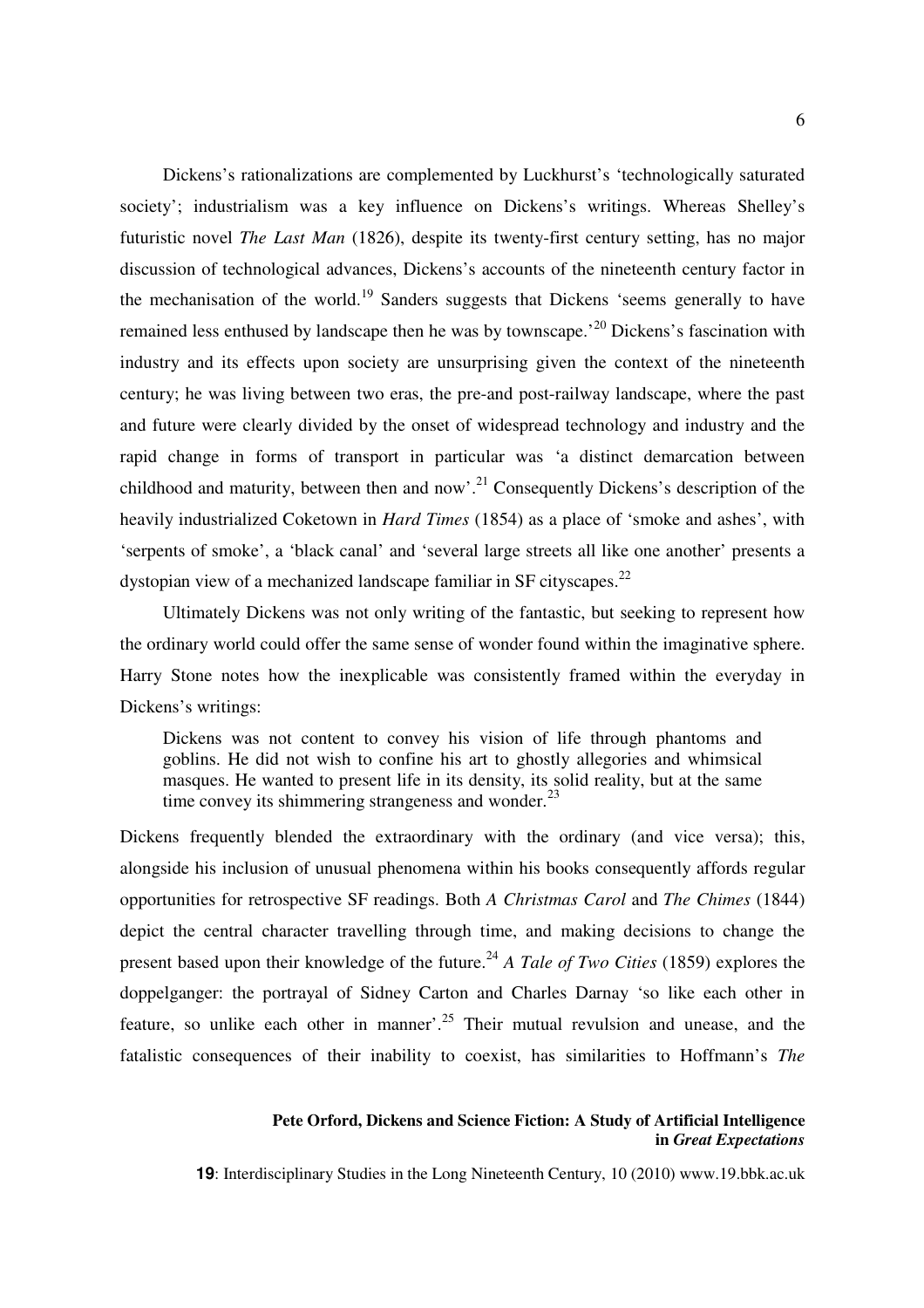Dickens's rationalizations are complemented by Luckhurst's 'technologically saturated society'; industrialism was a key influence on Dickens's writings. Whereas Shelley's futuristic novel *The Last Man* (1826), despite its twenty-first century setting, has no major discussion of technological advances, Dickens's accounts of the nineteenth century factor in the mechanisation of the world.<sup>19</sup> Sanders suggests that Dickens 'seems generally to have remained less enthused by landscape then he was by townscape.<sup>20</sup> Dickens's fascination with industry and its effects upon society are unsurprising given the context of the nineteenth century; he was living between two eras, the pre-and post-railway landscape, where the past and future were clearly divided by the onset of widespread technology and industry and the rapid change in forms of transport in particular was 'a distinct demarcation between childhood and maturity, between then and now'.<sup>21</sup> Consequently Dickens's description of the heavily industrialized Coketown in *Hard Times* (1854) as a place of 'smoke and ashes', with 'serpents of smoke', a 'black canal' and 'several large streets all like one another' presents a dystopian view of a mechanized landscape familiar in SF cityscapes.<sup>22</sup>

Ultimately Dickens was not only writing of the fantastic, but seeking to represent how the ordinary world could offer the same sense of wonder found within the imaginative sphere. Harry Stone notes how the inexplicable was consistently framed within the everyday in Dickens's writings:

Dickens was not content to convey his vision of life through phantoms and goblins. He did not wish to confine his art to ghostly allegories and whimsical masques. He wanted to present life in its density, its solid reality, but at the same time convey its shimmering strangeness and wonder. $^{23}$ 

Dickens frequently blended the extraordinary with the ordinary (and vice versa); this, alongside his inclusion of unusual phenomena within his books consequently affords regular opportunities for retrospective SF readings. Both *A Christmas Carol* and *The Chimes* (1844) depict the central character travelling through time, and making decisions to change the present based upon their knowledge of the future.<sup>24</sup> *A Tale of Two Cities* (1859) explores the doppelganger: the portrayal of Sidney Carton and Charles Darnay 'so like each other in feature, so unlike each other in manner<sup>'. 25</sup> Their mutual revulsion and unease, and the fatalistic consequences of their inability to coexist, has similarities to Hoffmann's *The* 

### **Pete Orford, Dickens and Science Fiction: A Study of Artificial Intelligence in** *Great Expectations*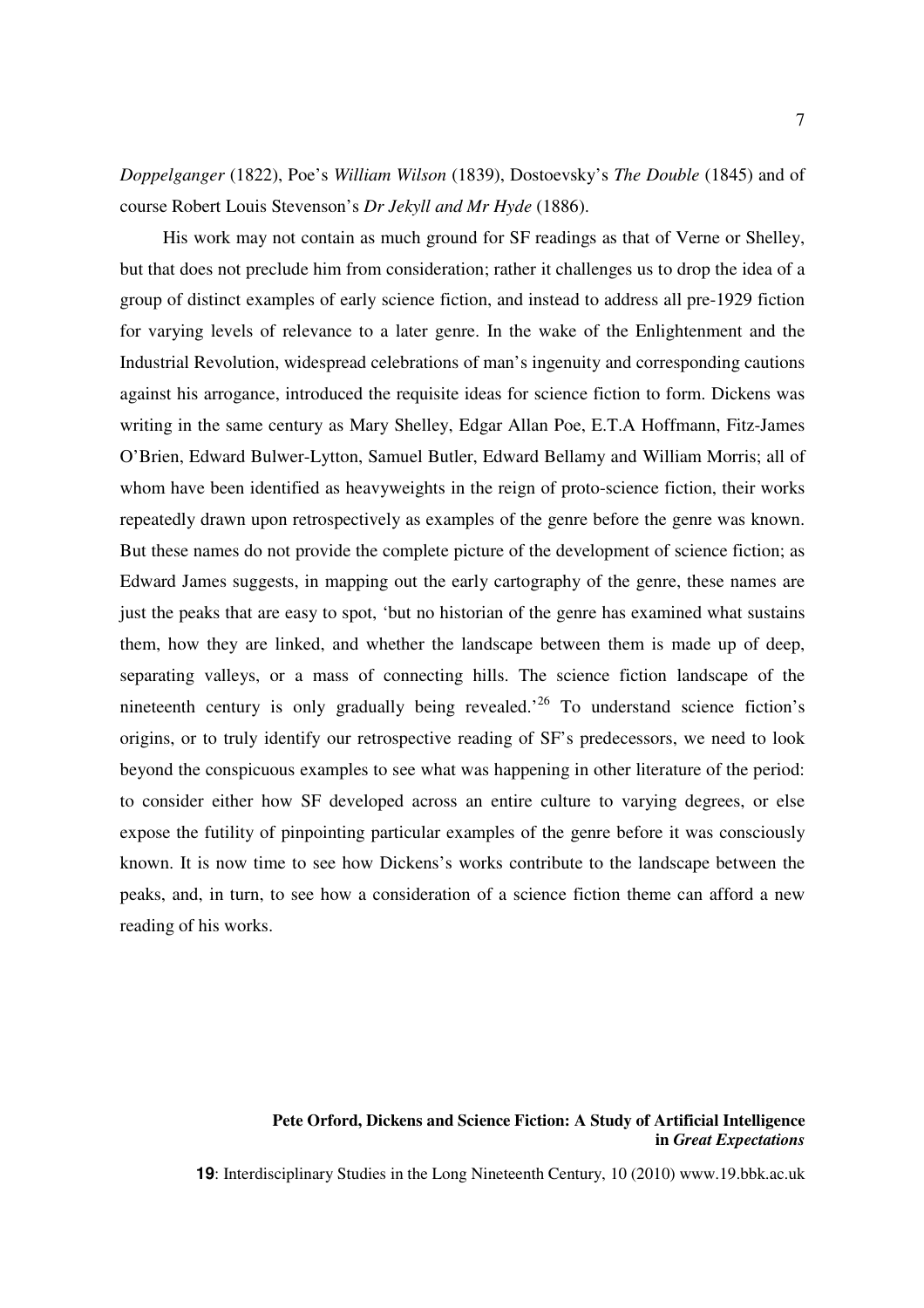*Doppelganger* (1822), Poe's *William Wilson* (1839), Dostoevsky's *The Double* (1845) and of course Robert Louis Stevenson's *Dr Jekyll and Mr Hyde* (1886).

His work may not contain as much ground for SF readings as that of Verne or Shelley, but that does not preclude him from consideration; rather it challenges us to drop the idea of a group of distinct examples of early science fiction, and instead to address all pre-1929 fiction for varying levels of relevance to a later genre. In the wake of the Enlightenment and the Industrial Revolution, widespread celebrations of man's ingenuity and corresponding cautions against his arrogance, introduced the requisite ideas for science fiction to form. Dickens was writing in the same century as Mary Shelley, Edgar Allan Poe, E.T.A Hoffmann, Fitz-James O'Brien, Edward Bulwer-Lytton, Samuel Butler, Edward Bellamy and William Morris; all of whom have been identified as heavyweights in the reign of proto-science fiction, their works repeatedly drawn upon retrospectively as examples of the genre before the genre was known. But these names do not provide the complete picture of the development of science fiction; as Edward James suggests, in mapping out the early cartography of the genre, these names are just the peaks that are easy to spot, 'but no historian of the genre has examined what sustains them, how they are linked, and whether the landscape between them is made up of deep, separating valleys, or a mass of connecting hills. The science fiction landscape of the nineteenth century is only gradually being revealed.<sup> $26$ </sup> To understand science fiction's origins, or to truly identify our retrospective reading of SF's predecessors, we need to look beyond the conspicuous examples to see what was happening in other literature of the period: to consider either how SF developed across an entire culture to varying degrees, or else expose the futility of pinpointing particular examples of the genre before it was consciously known. It is now time to see how Dickens's works contribute to the landscape between the peaks, and, in turn, to see how a consideration of a science fiction theme can afford a new reading of his works.

### **Pete Orford, Dickens and Science Fiction: A Study of Artificial Intelligence in** *Great Expectations*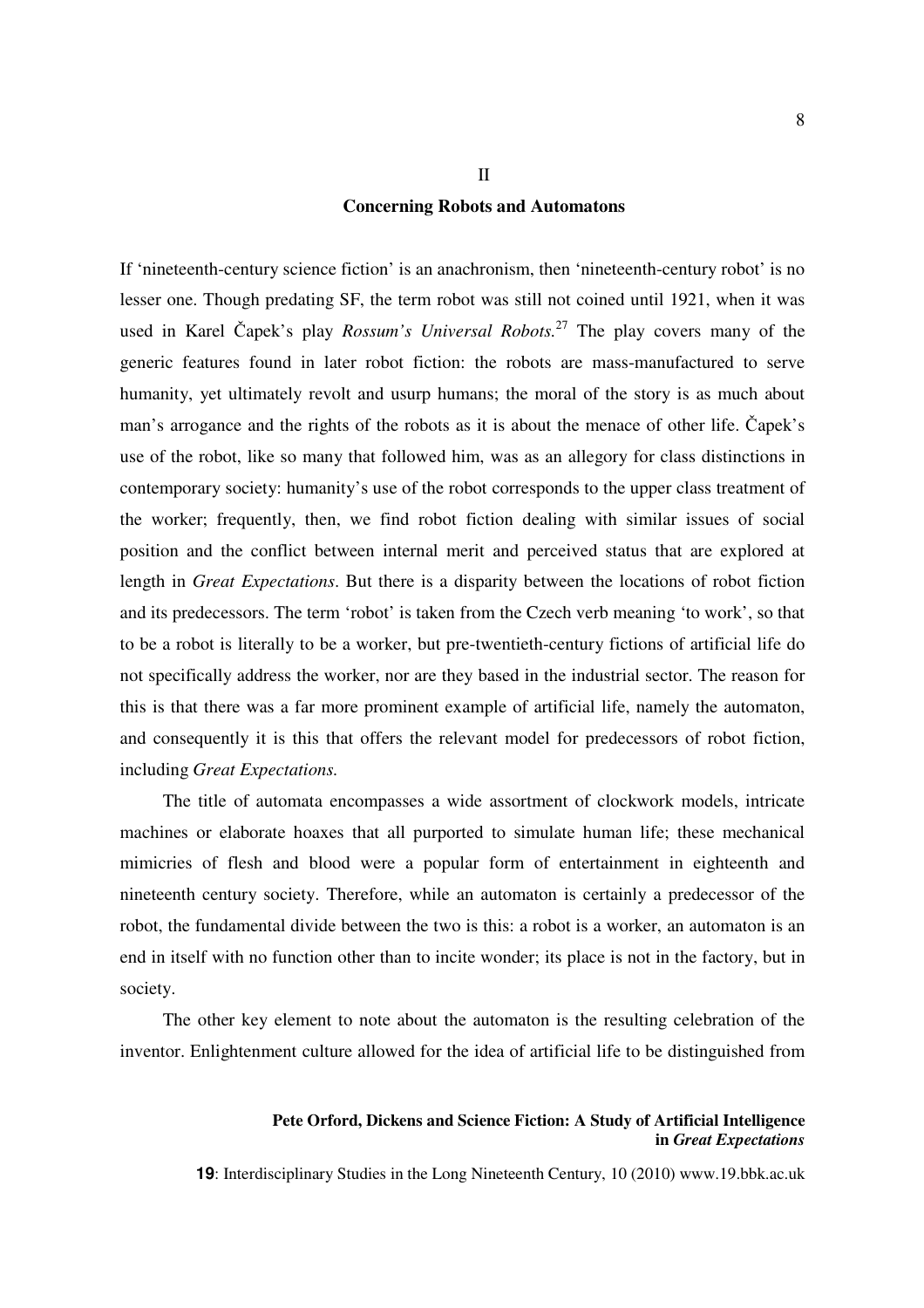# **Concerning Robots and Automatons**

II

If 'nineteenth-century science fiction' is an anachronism, then 'nineteenth-century robot' is no lesser one. Though predating SF, the term robot was still not coined until 1921, when it was used in Karel Čapek's play *Rossum's Universal Robots.*<sup>27</sup> The play covers many of the generic features found in later robot fiction: the robots are mass-manufactured to serve humanity, yet ultimately revolt and usurp humans; the moral of the story is as much about man's arrogance and the rights of the robots as it is about the menace of other life. Čapek's use of the robot, like so many that followed him, was as an allegory for class distinctions in contemporary society: humanity's use of the robot corresponds to the upper class treatment of the worker; frequently, then, we find robot fiction dealing with similar issues of social position and the conflict between internal merit and perceived status that are explored at length in *Great Expectations*. But there is a disparity between the locations of robot fiction and its predecessors. The term 'robot' is taken from the Czech verb meaning 'to work', so that to be a robot is literally to be a worker, but pre-twentieth-century fictions of artificial life do not specifically address the worker, nor are they based in the industrial sector. The reason for this is that there was a far more prominent example of artificial life, namely the automaton, and consequently it is this that offers the relevant model for predecessors of robot fiction, including *Great Expectations.*

The title of automata encompasses a wide assortment of clockwork models, intricate machines or elaborate hoaxes that all purported to simulate human life; these mechanical mimicries of flesh and blood were a popular form of entertainment in eighteenth and nineteenth century society. Therefore, while an automaton is certainly a predecessor of the robot, the fundamental divide between the two is this: a robot is a worker, an automaton is an end in itself with no function other than to incite wonder; its place is not in the factory, but in society.

The other key element to note about the automaton is the resulting celebration of the inventor. Enlightenment culture allowed for the idea of artificial life to be distinguished from

### **Pete Orford, Dickens and Science Fiction: A Study of Artificial Intelligence in** *Great Expectations*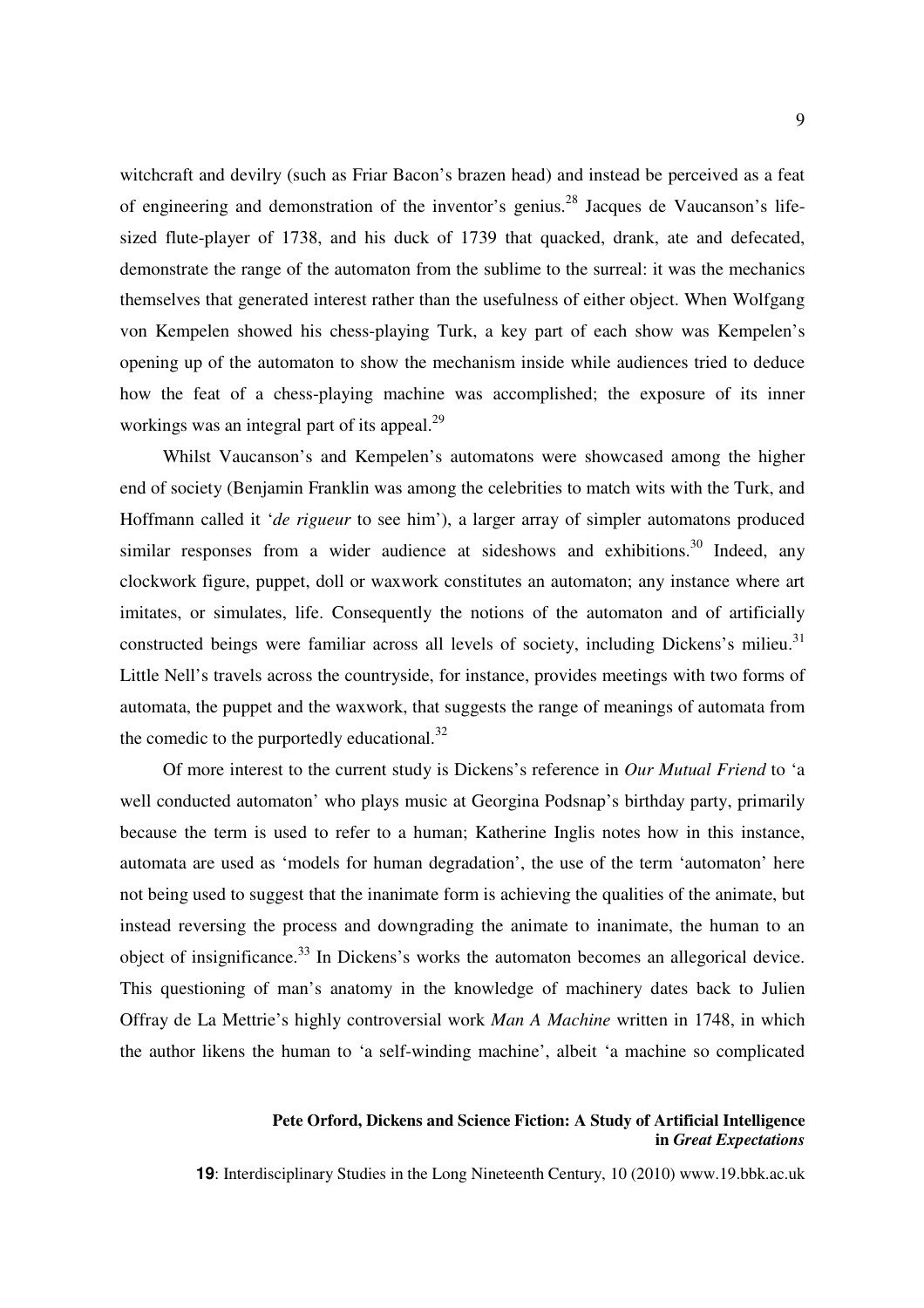witchcraft and devilry (such as Friar Bacon's brazen head) and instead be perceived as a feat of engineering and demonstration of the inventor's genius.<sup>28</sup> Jacques de Vaucanson's lifesized flute-player of 1738, and his duck of 1739 that quacked, drank, ate and defecated, demonstrate the range of the automaton from the sublime to the surreal: it was the mechanics themselves that generated interest rather than the usefulness of either object. When Wolfgang von Kempelen showed his chess-playing Turk, a key part of each show was Kempelen's opening up of the automaton to show the mechanism inside while audiences tried to deduce how the feat of a chess-playing machine was accomplished; the exposure of its inner workings was an integral part of its appeal.<sup>29</sup>

Whilst Vaucanson's and Kempelen's automatons were showcased among the higher end of society (Benjamin Franklin was among the celebrities to match wits with the Turk, and Hoffmann called it '*de rigueur* to see him'), a larger array of simpler automatons produced similar responses from a wider audience at sideshows and exhibitions.<sup>30</sup> Indeed, any clockwork figure, puppet, doll or waxwork constitutes an automaton; any instance where art imitates, or simulates, life. Consequently the notions of the automaton and of artificially constructed beings were familiar across all levels of society, including Dickens's milieu.<sup>31</sup> Little Nell's travels across the countryside, for instance, provides meetings with two forms of automata, the puppet and the waxwork, that suggests the range of meanings of automata from the comedic to the purportedly educational. $32$ 

Of more interest to the current study is Dickens's reference in *Our Mutual Friend* to 'a well conducted automaton' who plays music at Georgina Podsnap's birthday party, primarily because the term is used to refer to a human; Katherine Inglis notes how in this instance, automata are used as 'models for human degradation', the use of the term 'automaton' here not being used to suggest that the inanimate form is achieving the qualities of the animate, but instead reversing the process and downgrading the animate to inanimate, the human to an object of insignificance.<sup>33</sup> In Dickens's works the automaton becomes an allegorical device. This questioning of man's anatomy in the knowledge of machinery dates back to Julien Offray de La Mettrie's highly controversial work *Man A Machine* written in 1748, in which the author likens the human to 'a self-winding machine', albeit 'a machine so complicated

### **Pete Orford, Dickens and Science Fiction: A Study of Artificial Intelligence in** *Great Expectations*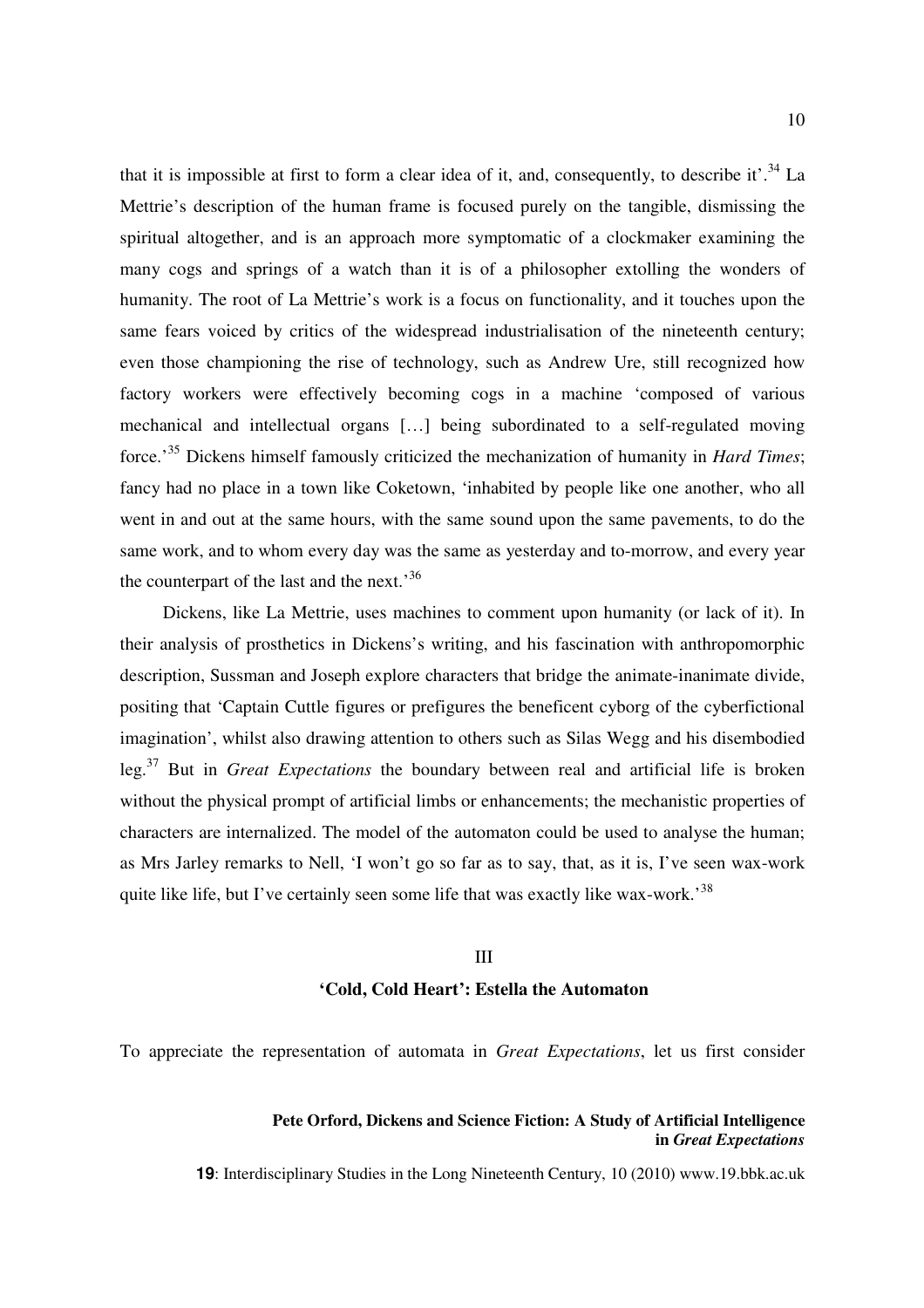that it is impossible at first to form a clear idea of it, and, consequently, to describe it'.<sup>34</sup> La Mettrie's description of the human frame is focused purely on the tangible, dismissing the spiritual altogether, and is an approach more symptomatic of a clockmaker examining the many cogs and springs of a watch than it is of a philosopher extolling the wonders of humanity. The root of La Mettrie's work is a focus on functionality, and it touches upon the same fears voiced by critics of the widespread industrialisation of the nineteenth century; even those championing the rise of technology, such as Andrew Ure, still recognized how factory workers were effectively becoming cogs in a machine 'composed of various mechanical and intellectual organs […] being subordinated to a self-regulated moving force.'<sup>35</sup> Dickens himself famously criticized the mechanization of humanity in *Hard Times*; fancy had no place in a town like Coketown, 'inhabited by people like one another, who all went in and out at the same hours, with the same sound upon the same pavements, to do the same work, and to whom every day was the same as yesterday and to-morrow, and every year the counterpart of the last and the next.<sup>36</sup>

Dickens, like La Mettrie, uses machines to comment upon humanity (or lack of it). In their analysis of prosthetics in Dickens's writing, and his fascination with anthropomorphic description, Sussman and Joseph explore characters that bridge the animate-inanimate divide, positing that 'Captain Cuttle figures or prefigures the beneficent cyborg of the cyberfictional imagination', whilst also drawing attention to others such as Silas Wegg and his disembodied leg.<sup>37</sup> But in *Great Expectations* the boundary between real and artificial life is broken without the physical prompt of artificial limbs or enhancements; the mechanistic properties of characters are internalized. The model of the automaton could be used to analyse the human; as Mrs Jarley remarks to Nell, 'I won't go so far as to say, that, as it is, I've seen wax-work quite like life, but I've certainly seen some life that was exactly like wax-work.<sup>38</sup>

# III **'Cold, Cold Heart': Estella the Automaton**

To appreciate the representation of automata in *Great Expectations*, let us first consider

### **Pete Orford, Dickens and Science Fiction: A Study of Artificial Intelligence in** *Great Expectations*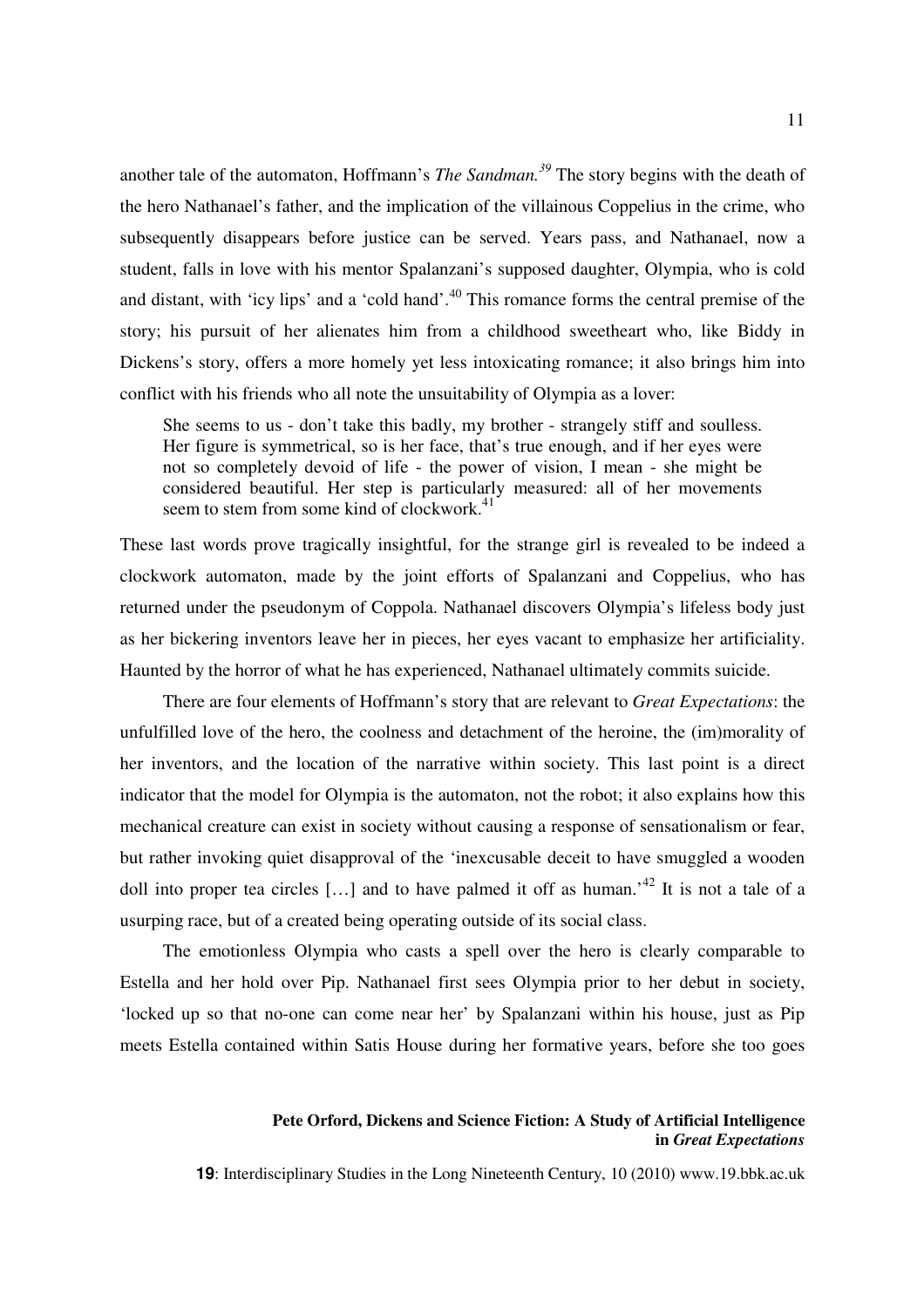another tale of the automaton, Hoffmann's *The Sandman.<sup>39</sup>* The story begins with the death of the hero Nathanael's father, and the implication of the villainous Coppelius in the crime, who subsequently disappears before justice can be served. Years pass, and Nathanael, now a student, falls in love with his mentor Spalanzani's supposed daughter, Olympia, who is cold and distant, with 'icy lips' and a 'cold hand'.<sup>40</sup> This romance forms the central premise of the story; his pursuit of her alienates him from a childhood sweetheart who, like Biddy in Dickens's story, offers a more homely yet less intoxicating romance; it also brings him into conflict with his friends who all note the unsuitability of Olympia as a lover:

She seems to us - don't take this badly, my brother - strangely stiff and soulless. Her figure is symmetrical, so is her face, that's true enough, and if her eyes were not so completely devoid of life - the power of vision, I mean - she might be considered beautiful. Her step is particularly measured: all of her movements seem to stem from some kind of clockwork.<sup>41</sup>

These last words prove tragically insightful, for the strange girl is revealed to be indeed a clockwork automaton, made by the joint efforts of Spalanzani and Coppelius, who has returned under the pseudonym of Coppola. Nathanael discovers Olympia's lifeless body just as her bickering inventors leave her in pieces, her eyes vacant to emphasize her artificiality. Haunted by the horror of what he has experienced, Nathanael ultimately commits suicide.

There are four elements of Hoffmann's story that are relevant to *Great Expectations*: the unfulfilled love of the hero, the coolness and detachment of the heroine, the (im)morality of her inventors, and the location of the narrative within society. This last point is a direct indicator that the model for Olympia is the automaton, not the robot; it also explains how this mechanical creature can exist in society without causing a response of sensationalism or fear, but rather invoking quiet disapproval of the 'inexcusable deceit to have smuggled a wooden doll into proper tea circles [...] and to have palmed it off as human.<sup>42</sup> It is not a tale of a usurping race, but of a created being operating outside of its social class.

The emotionless Olympia who casts a spell over the hero is clearly comparable to Estella and her hold over Pip. Nathanael first sees Olympia prior to her debut in society, 'locked up so that no-one can come near her' by Spalanzani within his house, just as Pip meets Estella contained within Satis House during her formative years, before she too goes

### **Pete Orford, Dickens and Science Fiction: A Study of Artificial Intelligence in** *Great Expectations*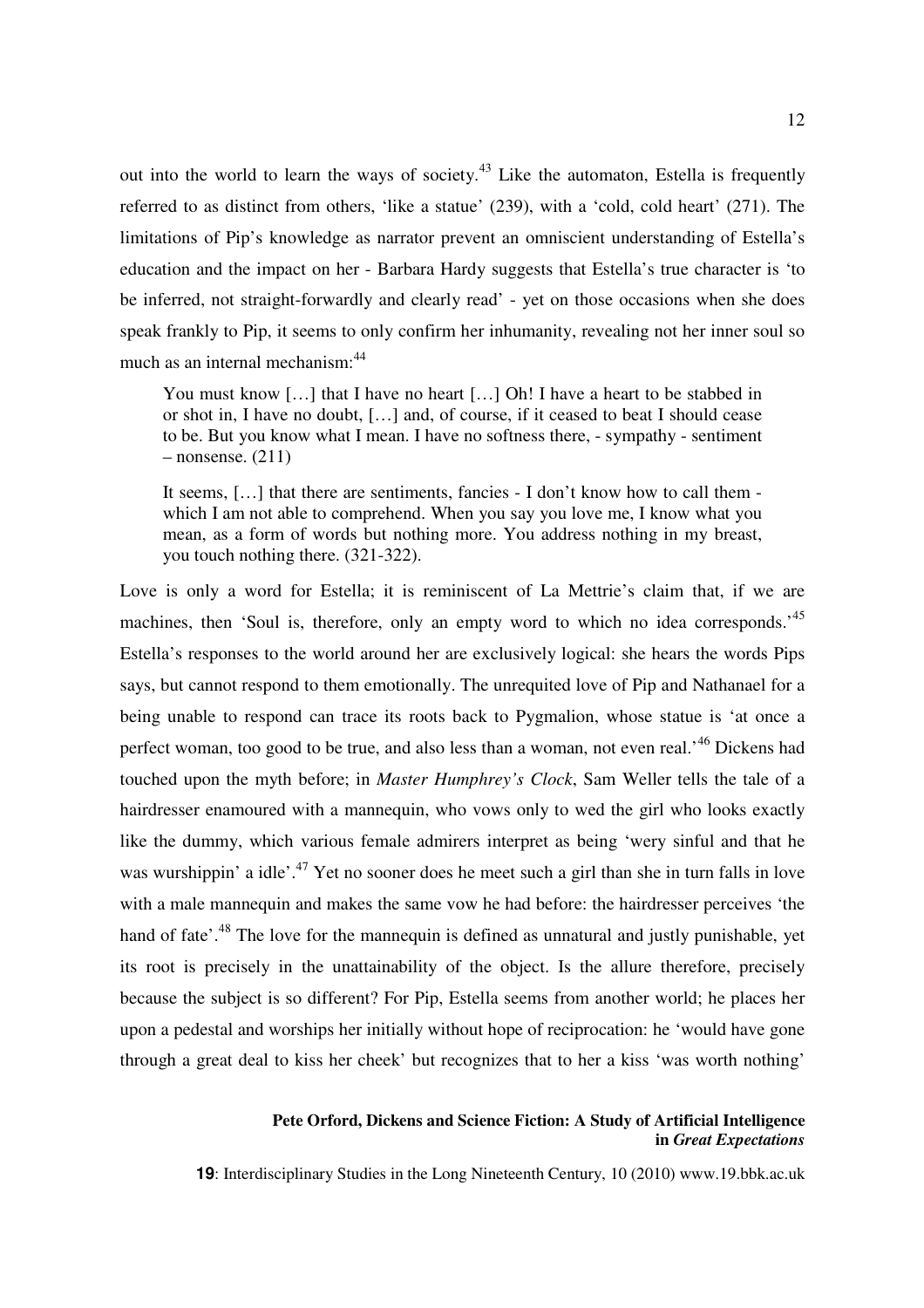out into the world to learn the ways of society.<sup>43</sup> Like the automaton, Estella is frequently referred to as distinct from others, 'like a statue' (239), with a 'cold, cold heart' (271). The limitations of Pip's knowledge as narrator prevent an omniscient understanding of Estella's education and the impact on her - Barbara Hardy suggests that Estella's true character is 'to be inferred, not straight-forwardly and clearly read' - yet on those occasions when she does speak frankly to Pip, it seems to only confirm her inhumanity, revealing not her inner soul so much as an internal mechanism: <sup>44</sup>

You must know [...] that I have no heart [...] Oh! I have a heart to be stabbed in or shot in, I have no doubt, […] and, of course, if it ceased to beat I should cease to be. But you know what I mean. I have no softness there, - sympathy - sentiment  $-$  nonsense. (211)

It seems, […] that there are sentiments, fancies - I don't know how to call them which I am not able to comprehend. When you say you love me, I know what you mean, as a form of words but nothing more. You address nothing in my breast, you touch nothing there. (321-322).

Love is only a word for Estella; it is reminiscent of La Mettrie's claim that, if we are machines, then 'Soul is, therefore, only an empty word to which no idea corresponds.<sup>45</sup> Estella's responses to the world around her are exclusively logical: she hears the words Pips says, but cannot respond to them emotionally. The unrequited love of Pip and Nathanael for a being unable to respond can trace its roots back to Pygmalion, whose statue is 'at once a perfect woman, too good to be true, and also less than a woman, not even real.<sup>46</sup> Dickens had touched upon the myth before; in *Master Humphrey's Clock*, Sam Weller tells the tale of a hairdresser enamoured with a mannequin, who vows only to wed the girl who looks exactly like the dummy, which various female admirers interpret as being 'wery sinful and that he was wurshippin' a idle'.<sup>47</sup> Yet no sooner does he meet such a girl than she in turn falls in love with a male mannequin and makes the same vow he had before: the hairdresser perceives 'the hand of fate'.<sup>48</sup> The love for the mannequin is defined as unnatural and justly punishable, yet its root is precisely in the unattainability of the object. Is the allure therefore, precisely because the subject is so different? For Pip, Estella seems from another world; he places her upon a pedestal and worships her initially without hope of reciprocation: he 'would have gone through a great deal to kiss her cheek' but recognizes that to her a kiss 'was worth nothing'

### **Pete Orford, Dickens and Science Fiction: A Study of Artificial Intelligence in** *Great Expectations*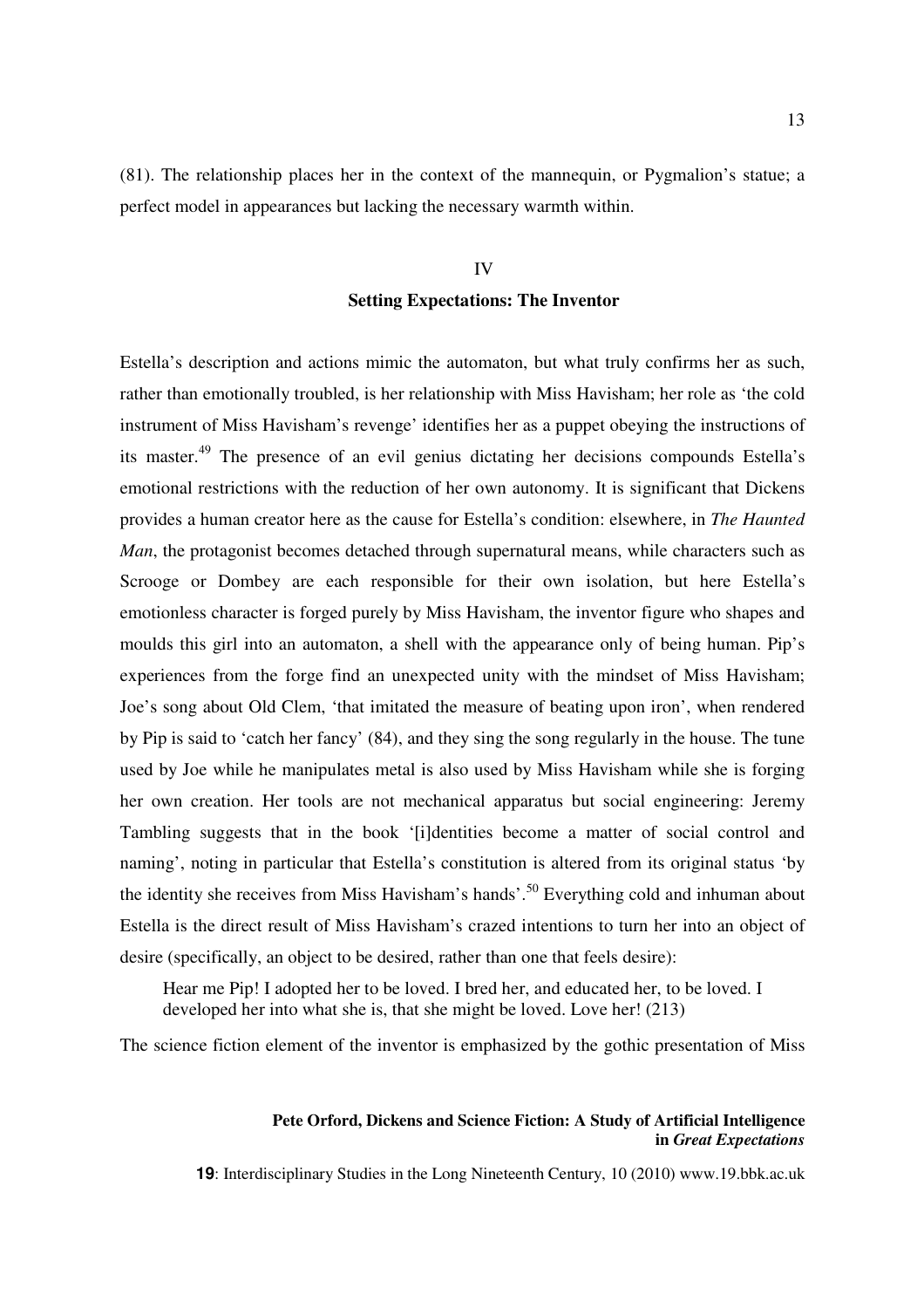(81). The relationship places her in the context of the mannequin, or Pygmalion's statue; a perfect model in appearances but lacking the necessary warmth within.

# IV **Setting Expectations: The Inventor**

Estella's description and actions mimic the automaton, but what truly confirms her as such, rather than emotionally troubled, is her relationship with Miss Havisham; her role as 'the cold instrument of Miss Havisham's revenge' identifies her as a puppet obeying the instructions of its master.<sup>49</sup> The presence of an evil genius dictating her decisions compounds Estella's emotional restrictions with the reduction of her own autonomy. It is significant that Dickens provides a human creator here as the cause for Estella's condition: elsewhere, in *The Haunted Man*, the protagonist becomes detached through supernatural means, while characters such as Scrooge or Dombey are each responsible for their own isolation, but here Estella's emotionless character is forged purely by Miss Havisham, the inventor figure who shapes and moulds this girl into an automaton, a shell with the appearance only of being human. Pip's experiences from the forge find an unexpected unity with the mindset of Miss Havisham; Joe's song about Old Clem, 'that imitated the measure of beating upon iron', when rendered by Pip is said to 'catch her fancy' (84), and they sing the song regularly in the house. The tune used by Joe while he manipulates metal is also used by Miss Havisham while she is forging her own creation. Her tools are not mechanical apparatus but social engineering: Jeremy Tambling suggests that in the book '[i]dentities become a matter of social control and naming', noting in particular that Estella's constitution is altered from its original status 'by the identity she receives from Miss Havisham's hands'.<sup>50</sup> Everything cold and inhuman about Estella is the direct result of Miss Havisham's crazed intentions to turn her into an object of desire (specifically, an object to be desired, rather than one that feels desire):

Hear me Pip! I adopted her to be loved. I bred her, and educated her, to be loved. I developed her into what she is, that she might be loved. Love her! (213)

The science fiction element of the inventor is emphasized by the gothic presentation of Miss

### **Pete Orford, Dickens and Science Fiction: A Study of Artificial Intelligence in** *Great Expectations*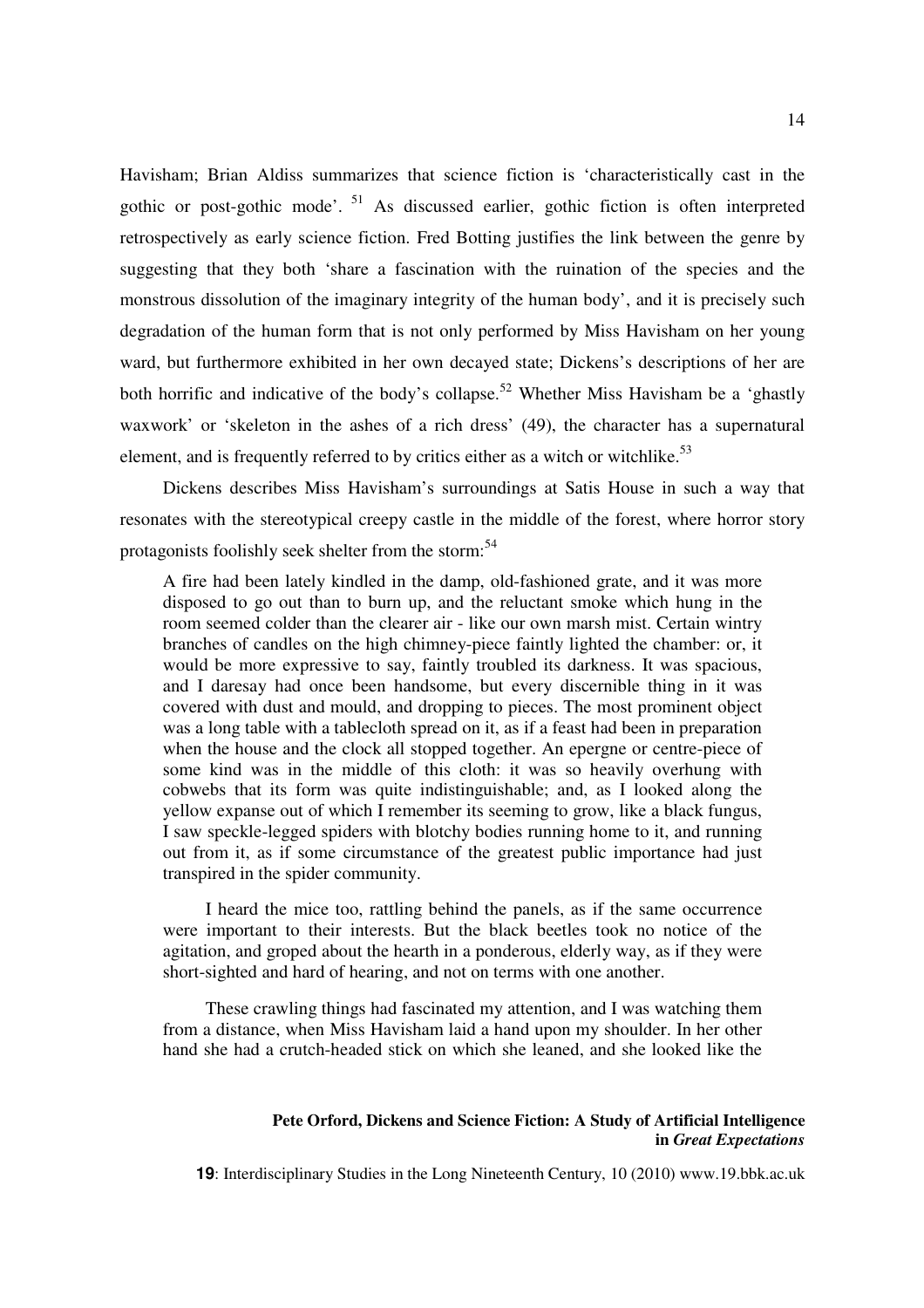Havisham; Brian Aldiss summarizes that science fiction is 'characteristically cast in the gothic or post-gothic mode'.<sup>51</sup> As discussed earlier, gothic fiction is often interpreted retrospectively as early science fiction. Fred Botting justifies the link between the genre by suggesting that they both 'share a fascination with the ruination of the species and the monstrous dissolution of the imaginary integrity of the human body', and it is precisely such degradation of the human form that is not only performed by Miss Havisham on her young ward, but furthermore exhibited in her own decayed state; Dickens's descriptions of her are both horrific and indicative of the body's collapse.<sup>52</sup> Whether Miss Havisham be a 'ghastly waxwork' or 'skeleton in the ashes of a rich dress' (49), the character has a supernatural element, and is frequently referred to by critics either as a witch or witchlike.<sup>53</sup>

Dickens describes Miss Havisham's surroundings at Satis House in such a way that resonates with the stereotypical creepy castle in the middle of the forest, where horror story protagonists foolishly seek shelter from the storm:<sup>54</sup>

A fire had been lately kindled in the damp, old-fashioned grate, and it was more disposed to go out than to burn up, and the reluctant smoke which hung in the room seemed colder than the clearer air - like our own marsh mist. Certain wintry branches of candles on the high chimney-piece faintly lighted the chamber: or, it would be more expressive to say, faintly troubled its darkness. It was spacious, and I daresay had once been handsome, but every discernible thing in it was covered with dust and mould, and dropping to pieces. The most prominent object was a long table with a tablecloth spread on it, as if a feast had been in preparation when the house and the clock all stopped together. An epergne or centre-piece of some kind was in the middle of this cloth: it was so heavily overhung with cobwebs that its form was quite indistinguishable; and, as I looked along the yellow expanse out of which I remember its seeming to grow, like a black fungus, I saw speckle-legged spiders with blotchy bodies running home to it, and running out from it, as if some circumstance of the greatest public importance had just transpired in the spider community.

I heard the mice too, rattling behind the panels, as if the same occurrence were important to their interests. But the black beetles took no notice of the agitation, and groped about the hearth in a ponderous, elderly way, as if they were short-sighted and hard of hearing, and not on terms with one another.

These crawling things had fascinated my attention, and I was watching them from a distance, when Miss Havisham laid a hand upon my shoulder. In her other hand she had a crutch-headed stick on which she leaned, and she looked like the

### **Pete Orford, Dickens and Science Fiction: A Study of Artificial Intelligence in** *Great Expectations*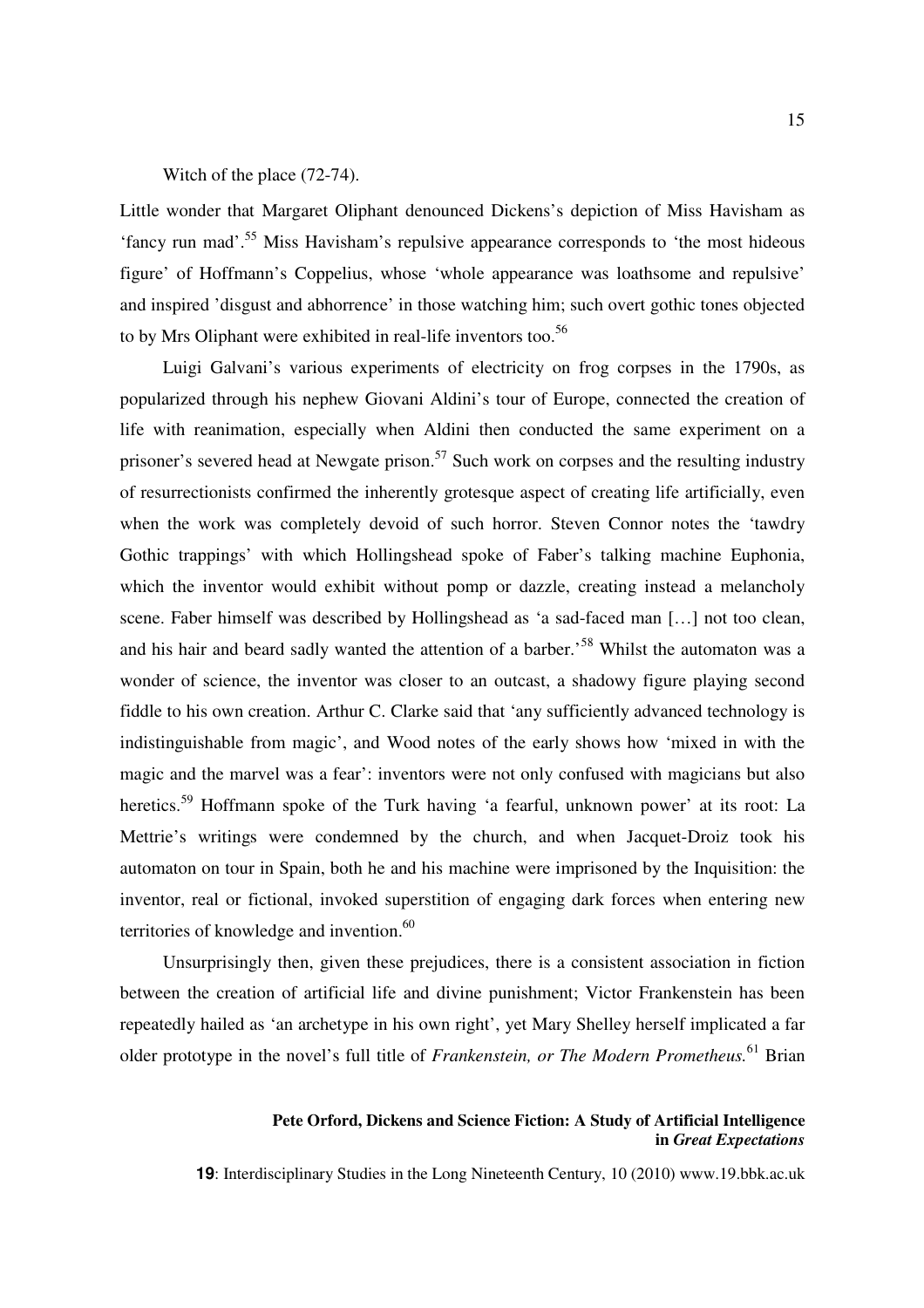#### Witch of the place (72-74).

Little wonder that Margaret Oliphant denounced Dickens's depiction of Miss Havisham as 'fancy run mad'.<sup>55</sup> Miss Havisham's repulsive appearance corresponds to 'the most hideous figure' of Hoffmann's Coppelius, whose 'whole appearance was loathsome and repulsive' and inspired 'disgust and abhorrence' in those watching him; such overt gothic tones objected to by Mrs Oliphant were exhibited in real-life inventors too.<sup>56</sup>

Luigi Galvani's various experiments of electricity on frog corpses in the 1790s, as popularized through his nephew Giovani Aldini's tour of Europe, connected the creation of life with reanimation, especially when Aldini then conducted the same experiment on a prisoner's severed head at Newgate prison.<sup>57</sup> Such work on corpses and the resulting industry of resurrectionists confirmed the inherently grotesque aspect of creating life artificially, even when the work was completely devoid of such horror. Steven Connor notes the 'tawdry Gothic trappings' with which Hollingshead spoke of Faber's talking machine Euphonia, which the inventor would exhibit without pomp or dazzle, creating instead a melancholy scene. Faber himself was described by Hollingshead as 'a sad-faced man […] not too clean, and his hair and beard sadly wanted the attention of a barber.<sup>58</sup> Whilst the automaton was a wonder of science, the inventor was closer to an outcast, a shadowy figure playing second fiddle to his own creation. Arthur C. Clarke said that 'any sufficiently advanced technology is indistinguishable from magic', and Wood notes of the early shows how 'mixed in with the magic and the marvel was a fear': inventors were not only confused with magicians but also heretics.<sup>59</sup> Hoffmann spoke of the Turk having 'a fearful, unknown power' at its root: La Mettrie's writings were condemned by the church, and when Jacquet-Droiz took his automaton on tour in Spain, both he and his machine were imprisoned by the Inquisition: the inventor, real or fictional, invoked superstition of engaging dark forces when entering new territories of knowledge and invention.<sup>60</sup>

Unsurprisingly then, given these prejudices, there is a consistent association in fiction between the creation of artificial life and divine punishment; Victor Frankenstein has been repeatedly hailed as 'an archetype in his own right', yet Mary Shelley herself implicated a far older prototype in the novel's full title of *Frankenstein, or The Modern Prometheus.*<sup>61</sup> Brian

### **Pete Orford, Dickens and Science Fiction: A Study of Artificial Intelligence in** *Great Expectations*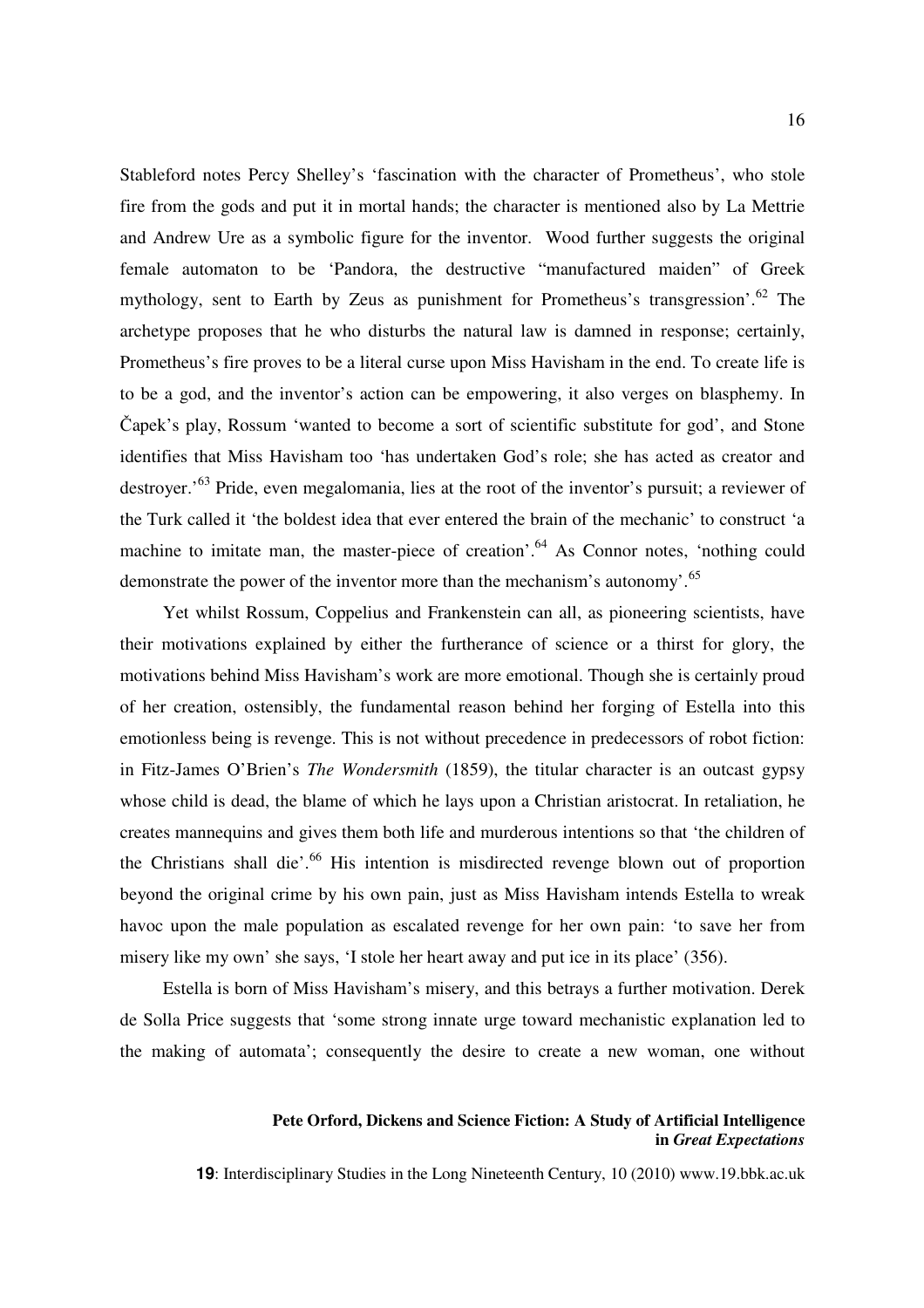Stableford notes Percy Shelley's 'fascination with the character of Prometheus', who stole fire from the gods and put it in mortal hands; the character is mentioned also by La Mettrie and Andrew Ure as a symbolic figure for the inventor. Wood further suggests the original female automaton to be 'Pandora, the destructive "manufactured maiden" of Greek mythology, sent to Earth by Zeus as punishment for Prometheus's transgression'. $^{62}$  The archetype proposes that he who disturbs the natural law is damned in response; certainly, Prometheus's fire proves to be a literal curse upon Miss Havisham in the end. To create life is to be a god, and the inventor's action can be empowering, it also verges on blasphemy. In Čapek's play, Rossum 'wanted to become a sort of scientific substitute for god', and Stone identifies that Miss Havisham too 'has undertaken God's role; she has acted as creator and destroyer.'<sup>63</sup> Pride, even megalomania, lies at the root of the inventor's pursuit; a reviewer of the Turk called it 'the boldest idea that ever entered the brain of the mechanic' to construct 'a machine to imitate man, the master-piece of creation'.<sup>64</sup> As Connor notes, 'nothing could demonstrate the power of the inventor more than the mechanism's autonomy'.<sup>65</sup>

Yet whilst Rossum, Coppelius and Frankenstein can all, as pioneering scientists, have their motivations explained by either the furtherance of science or a thirst for glory, the motivations behind Miss Havisham's work are more emotional. Though she is certainly proud of her creation, ostensibly, the fundamental reason behind her forging of Estella into this emotionless being is revenge. This is not without precedence in predecessors of robot fiction: in Fitz-James O'Brien's *The Wondersmith* (1859), the titular character is an outcast gypsy whose child is dead, the blame of which he lays upon a Christian aristocrat. In retaliation, he creates mannequins and gives them both life and murderous intentions so that 'the children of the Christians shall die'.<sup>66</sup> His intention is misdirected revenge blown out of proportion beyond the original crime by his own pain, just as Miss Havisham intends Estella to wreak havoc upon the male population as escalated revenge for her own pain: 'to save her from misery like my own' she says, 'I stole her heart away and put ice in its place' (356).

Estella is born of Miss Havisham's misery, and this betrays a further motivation. Derek de Solla Price suggests that 'some strong innate urge toward mechanistic explanation led to the making of automata'; consequently the desire to create a new woman, one without

### **Pete Orford, Dickens and Science Fiction: A Study of Artificial Intelligence in** *Great Expectations*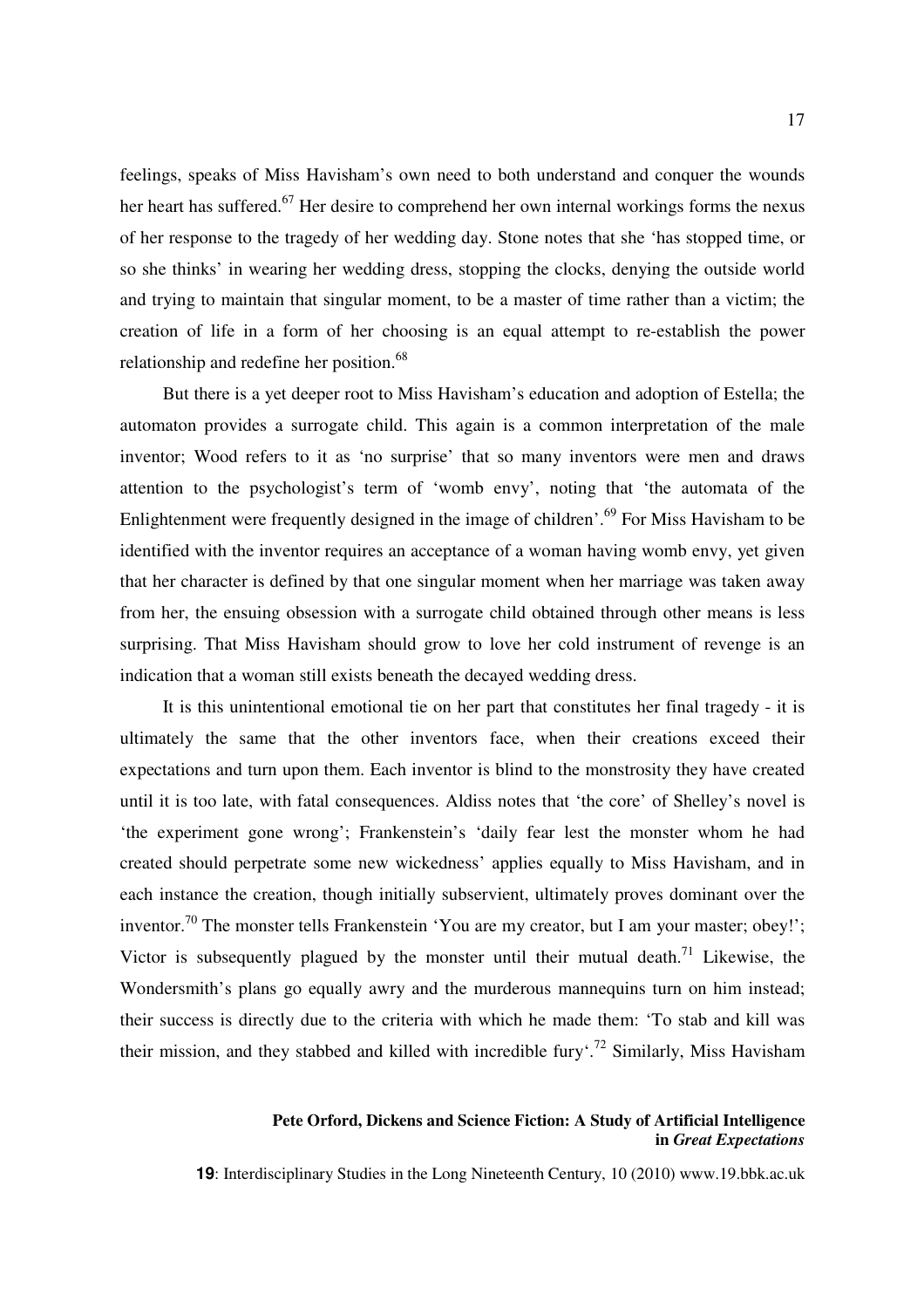feelings, speaks of Miss Havisham's own need to both understand and conquer the wounds her heart has suffered.<sup>67</sup> Her desire to comprehend her own internal workings forms the nexus of her response to the tragedy of her wedding day. Stone notes that she 'has stopped time, or so she thinks' in wearing her wedding dress, stopping the clocks, denying the outside world and trying to maintain that singular moment, to be a master of time rather than a victim; the creation of life in a form of her choosing is an equal attempt to re-establish the power relationship and redefine her position.<sup>68</sup>

But there is a yet deeper root to Miss Havisham's education and adoption of Estella; the automaton provides a surrogate child. This again is a common interpretation of the male inventor; Wood refers to it as 'no surprise' that so many inventors were men and draws attention to the psychologist's term of 'womb envy', noting that 'the automata of the Enlightenment were frequently designed in the image of children'.<sup>69</sup> For Miss Havisham to be identified with the inventor requires an acceptance of a woman having womb envy, yet given that her character is defined by that one singular moment when her marriage was taken away from her, the ensuing obsession with a surrogate child obtained through other means is less surprising. That Miss Havisham should grow to love her cold instrument of revenge is an indication that a woman still exists beneath the decayed wedding dress.

It is this unintentional emotional tie on her part that constitutes her final tragedy - it is ultimately the same that the other inventors face, when their creations exceed their expectations and turn upon them. Each inventor is blind to the monstrosity they have created until it is too late, with fatal consequences. Aldiss notes that 'the core' of Shelley's novel is 'the experiment gone wrong'; Frankenstein's 'daily fear lest the monster whom he had created should perpetrate some new wickedness' applies equally to Miss Havisham, and in each instance the creation, though initially subservient, ultimately proves dominant over the inventor.<sup>70</sup> The monster tells Frankenstein 'You are my creator, but I am your master; obey!'; Victor is subsequently plagued by the monster until their mutual death.<sup>71</sup> Likewise, the Wondersmith's plans go equally awry and the murderous mannequins turn on him instead; their success is directly due to the criteria with which he made them: 'To stab and kill was their mission, and they stabbed and killed with incredible fury<sup> $\cdot$ , 72</sup> Similarly, Miss Havisham

### **Pete Orford, Dickens and Science Fiction: A Study of Artificial Intelligence in** *Great Expectations*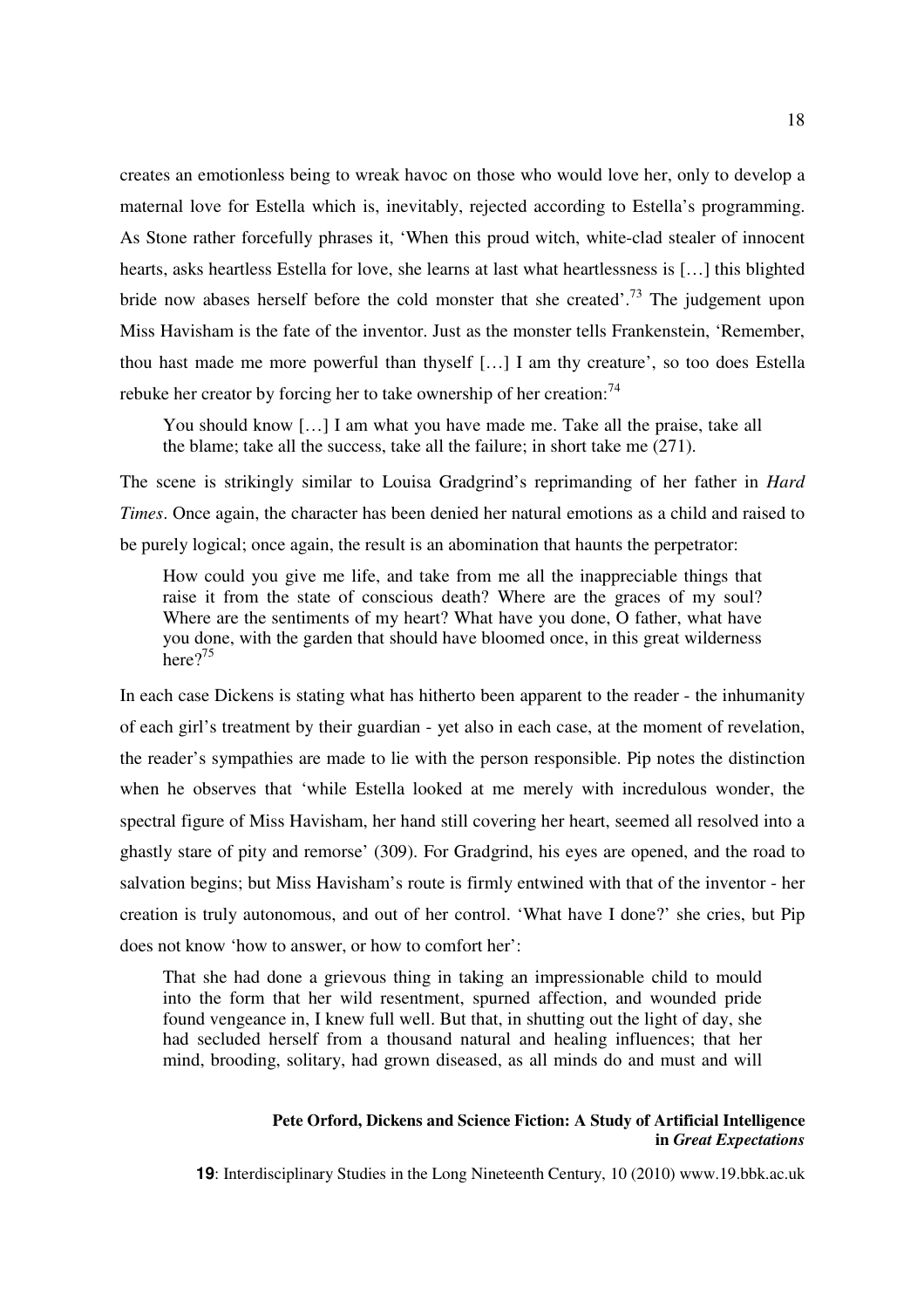creates an emotionless being to wreak havoc on those who would love her, only to develop a maternal love for Estella which is, inevitably, rejected according to Estella's programming. As Stone rather forcefully phrases it, 'When this proud witch, white-clad stealer of innocent hearts, asks heartless Estella for love, she learns at last what heartlessness is […] this blighted bride now abases herself before the cold monster that she created'.<sup>73</sup> The judgement upon Miss Havisham is the fate of the inventor. Just as the monster tells Frankenstein, 'Remember, thou hast made me more powerful than thyself […] I am thy creature', so too does Estella rebuke her creator by forcing her to take ownership of her creation:  $74$ 

You should know [...] I am what you have made me. Take all the praise, take all the blame; take all the success, take all the failure; in short take me (271).

The scene is strikingly similar to Louisa Gradgrind's reprimanding of her father in *Hard Times*. Once again, the character has been denied her natural emotions as a child and raised to be purely logical; once again, the result is an abomination that haunts the perpetrator:

How could you give me life, and take from me all the inappreciable things that raise it from the state of conscious death? Where are the graces of my soul? Where are the sentiments of my heart? What have you done, O father, what have you done, with the garden that should have bloomed once, in this great wilderness here $2^{75}$ 

In each case Dickens is stating what has hitherto been apparent to the reader - the inhumanity of each girl's treatment by their guardian - yet also in each case, at the moment of revelation, the reader's sympathies are made to lie with the person responsible. Pip notes the distinction when he observes that 'while Estella looked at me merely with incredulous wonder, the spectral figure of Miss Havisham, her hand still covering her heart, seemed all resolved into a ghastly stare of pity and remorse' (309). For Gradgrind, his eyes are opened, and the road to salvation begins; but Miss Havisham's route is firmly entwined with that of the inventor - her creation is truly autonomous, and out of her control. 'What have I done?' she cries, but Pip does not know 'how to answer, or how to comfort her':

That she had done a grievous thing in taking an impressionable child to mould into the form that her wild resentment, spurned affection, and wounded pride found vengeance in, I knew full well. But that, in shutting out the light of day, she had secluded herself from a thousand natural and healing influences; that her mind, brooding, solitary, had grown diseased, as all minds do and must and will

### **Pete Orford, Dickens and Science Fiction: A Study of Artificial Intelligence in** *Great Expectations*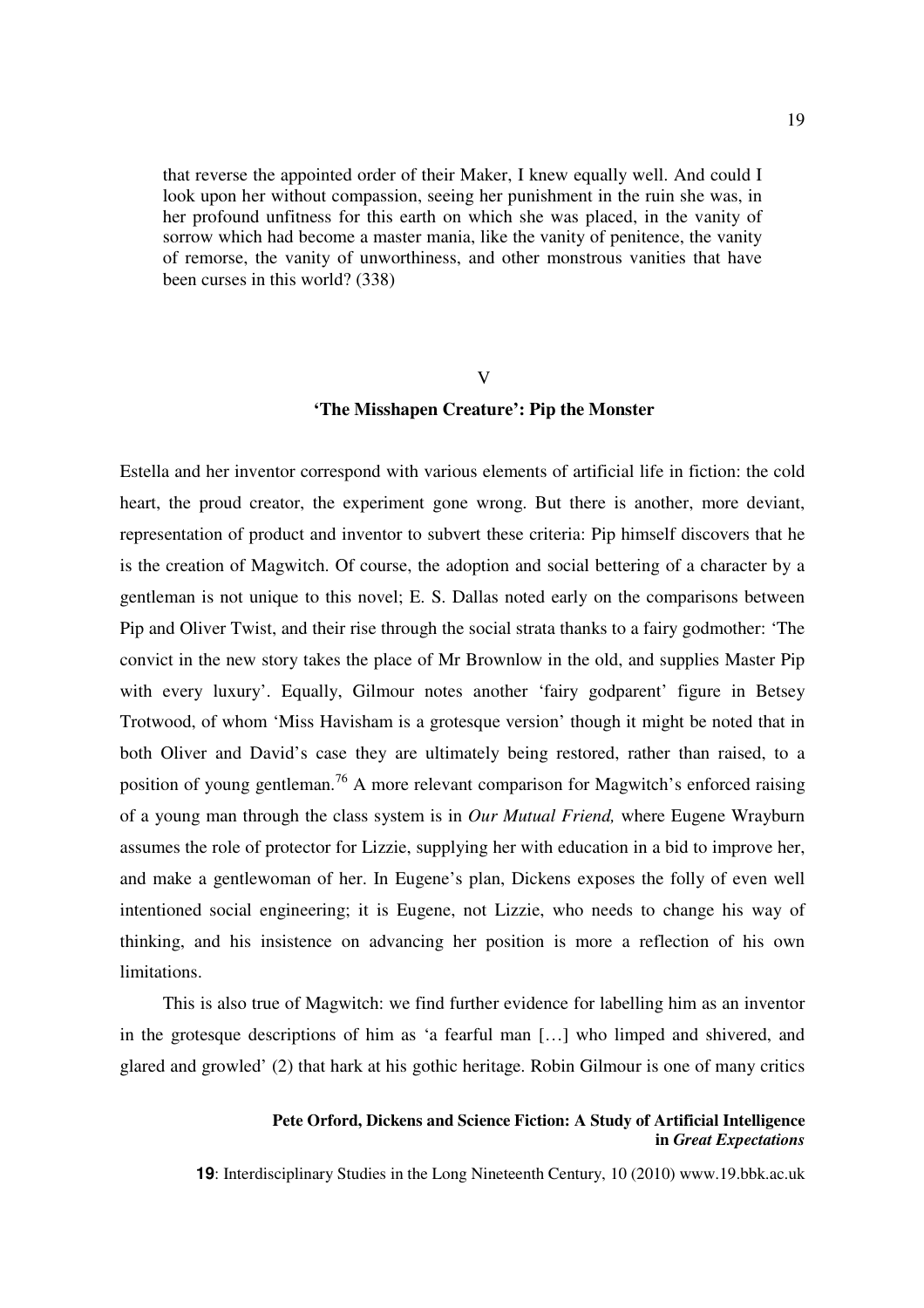that reverse the appointed order of their Maker, I knew equally well. And could I look upon her without compassion, seeing her punishment in the ruin she was, in her profound unfitness for this earth on which she was placed, in the vanity of sorrow which had become a master mania, like the vanity of penitence, the vanity of remorse, the vanity of unworthiness, and other monstrous vanities that have been curses in this world? (338)

#### V

#### **'The Misshapen Creature': Pip the Monster**

Estella and her inventor correspond with various elements of artificial life in fiction: the cold heart, the proud creator, the experiment gone wrong. But there is another, more deviant, representation of product and inventor to subvert these criteria: Pip himself discovers that he is the creation of Magwitch. Of course, the adoption and social bettering of a character by a gentleman is not unique to this novel; E. S. Dallas noted early on the comparisons between Pip and Oliver Twist, and their rise through the social strata thanks to a fairy godmother: 'The convict in the new story takes the place of Mr Brownlow in the old, and supplies Master Pip with every luxury'. Equally, Gilmour notes another 'fairy godparent' figure in Betsey Trotwood, of whom 'Miss Havisham is a grotesque version' though it might be noted that in both Oliver and David's case they are ultimately being restored, rather than raised, to a position of young gentleman.<sup>76</sup> A more relevant comparison for Magwitch's enforced raising of a young man through the class system is in *Our Mutual Friend,* where Eugene Wrayburn assumes the role of protector for Lizzie, supplying her with education in a bid to improve her, and make a gentlewoman of her. In Eugene's plan, Dickens exposes the folly of even well intentioned social engineering; it is Eugene, not Lizzie, who needs to change his way of thinking, and his insistence on advancing her position is more a reflection of his own limitations.

This is also true of Magwitch: we find further evidence for labelling him as an inventor in the grotesque descriptions of him as 'a fearful man […] who limped and shivered, and glared and growled' (2) that hark at his gothic heritage. Robin Gilmour is one of many critics

### **Pete Orford, Dickens and Science Fiction: A Study of Artificial Intelligence in** *Great Expectations*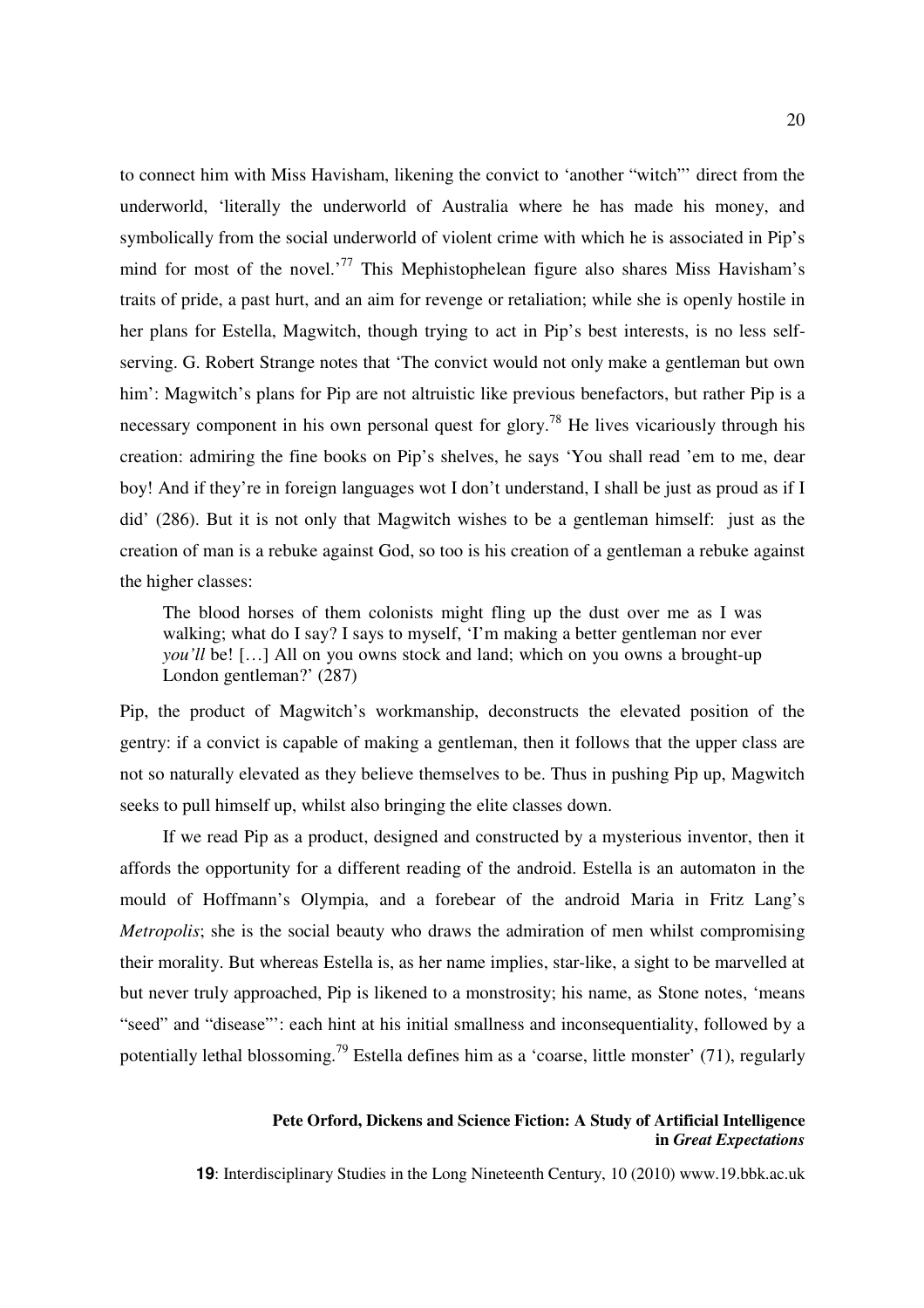to connect him with Miss Havisham, likening the convict to 'another "witch"' direct from the underworld, 'literally the underworld of Australia where he has made his money, and symbolically from the social underworld of violent crime with which he is associated in Pip's mind for most of the novel.<sup>77</sup> This Mephistophelean figure also shares Miss Havisham's traits of pride, a past hurt, and an aim for revenge or retaliation; while she is openly hostile in her plans for Estella, Magwitch, though trying to act in Pip's best interests, is no less selfserving. G. Robert Strange notes that 'The convict would not only make a gentleman but own him': Magwitch's plans for Pip are not altruistic like previous benefactors, but rather Pip is a necessary component in his own personal quest for glory.<sup>78</sup> He lives vicariously through his creation: admiring the fine books on Pip's shelves, he says 'You shall read 'em to me, dear boy! And if they're in foreign languages wot I don't understand, I shall be just as proud as if I did' (286). But it is not only that Magwitch wishes to be a gentleman himself: just as the creation of man is a rebuke against God, so too is his creation of a gentleman a rebuke against the higher classes:

The blood horses of them colonists might fling up the dust over me as I was walking; what do I say? I says to myself, 'I'm making a better gentleman nor ever *you'll* be! [...] All on you owns stock and land; which on you owns a brought-up London gentleman?' (287)

Pip, the product of Magwitch's workmanship, deconstructs the elevated position of the gentry: if a convict is capable of making a gentleman, then it follows that the upper class are not so naturally elevated as they believe themselves to be. Thus in pushing Pip up, Magwitch seeks to pull himself up, whilst also bringing the elite classes down.

If we read Pip as a product, designed and constructed by a mysterious inventor, then it affords the opportunity for a different reading of the android. Estella is an automaton in the mould of Hoffmann's Olympia, and a forebear of the android Maria in Fritz Lang's *Metropolis*; she is the social beauty who draws the admiration of men whilst compromising their morality. But whereas Estella is, as her name implies, star-like, a sight to be marvelled at but never truly approached, Pip is likened to a monstrosity; his name, as Stone notes, 'means "seed" and "disease"': each hint at his initial smallness and inconsequentiality, followed by a potentially lethal blossoming.<sup>79</sup> Estella defines him as a 'coarse, little monster' (71), regularly

### **Pete Orford, Dickens and Science Fiction: A Study of Artificial Intelligence in** *Great Expectations*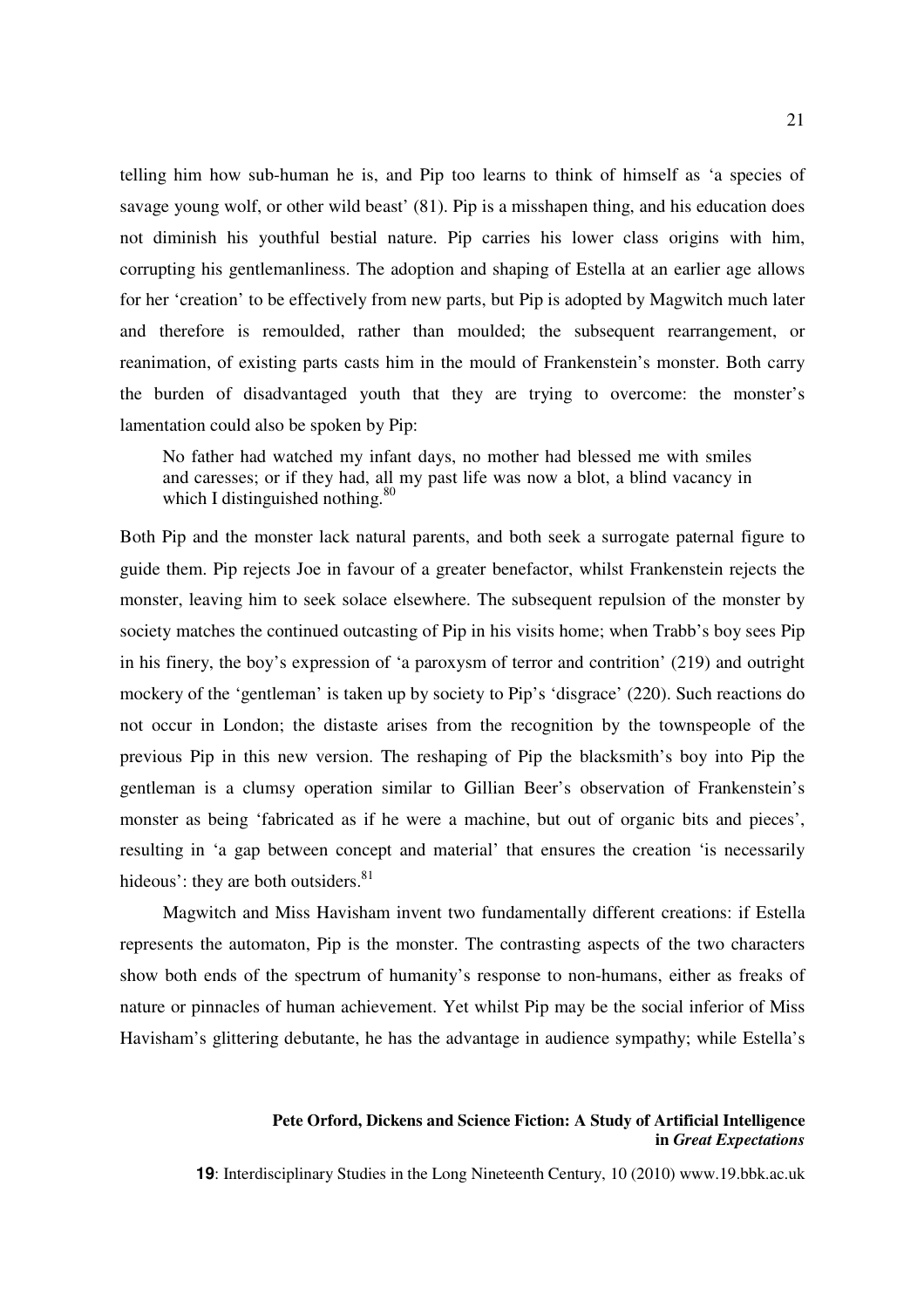telling him how sub-human he is, and Pip too learns to think of himself as 'a species of savage young wolf, or other wild beast' (81). Pip is a misshapen thing, and his education does not diminish his youthful bestial nature. Pip carries his lower class origins with him, corrupting his gentlemanliness. The adoption and shaping of Estella at an earlier age allows for her 'creation' to be effectively from new parts, but Pip is adopted by Magwitch much later and therefore is remoulded, rather than moulded; the subsequent rearrangement, or reanimation, of existing parts casts him in the mould of Frankenstein's monster. Both carry the burden of disadvantaged youth that they are trying to overcome: the monster's lamentation could also be spoken by Pip:

No father had watched my infant days, no mother had blessed me with smiles and caresses; or if they had, all my past life was now a blot, a blind vacancy in which I distinguished nothing. $80$ 

Both Pip and the monster lack natural parents, and both seek a surrogate paternal figure to guide them. Pip rejects Joe in favour of a greater benefactor, whilst Frankenstein rejects the monster, leaving him to seek solace elsewhere. The subsequent repulsion of the monster by society matches the continued outcasting of Pip in his visits home; when Trabb's boy sees Pip in his finery, the boy's expression of 'a paroxysm of terror and contrition' (219) and outright mockery of the 'gentleman' is taken up by society to Pip's 'disgrace' (220). Such reactions do not occur in London; the distaste arises from the recognition by the townspeople of the previous Pip in this new version. The reshaping of Pip the blacksmith's boy into Pip the gentleman is a clumsy operation similar to Gillian Beer's observation of Frankenstein's monster as being 'fabricated as if he were a machine, but out of organic bits and pieces', resulting in 'a gap between concept and material' that ensures the creation 'is necessarily hideous': they are both outsiders. $81$ 

Magwitch and Miss Havisham invent two fundamentally different creations: if Estella represents the automaton, Pip is the monster. The contrasting aspects of the two characters show both ends of the spectrum of humanity's response to non-humans, either as freaks of nature or pinnacles of human achievement. Yet whilst Pip may be the social inferior of Miss Havisham's glittering debutante, he has the advantage in audience sympathy; while Estella's

### **Pete Orford, Dickens and Science Fiction: A Study of Artificial Intelligence in** *Great Expectations*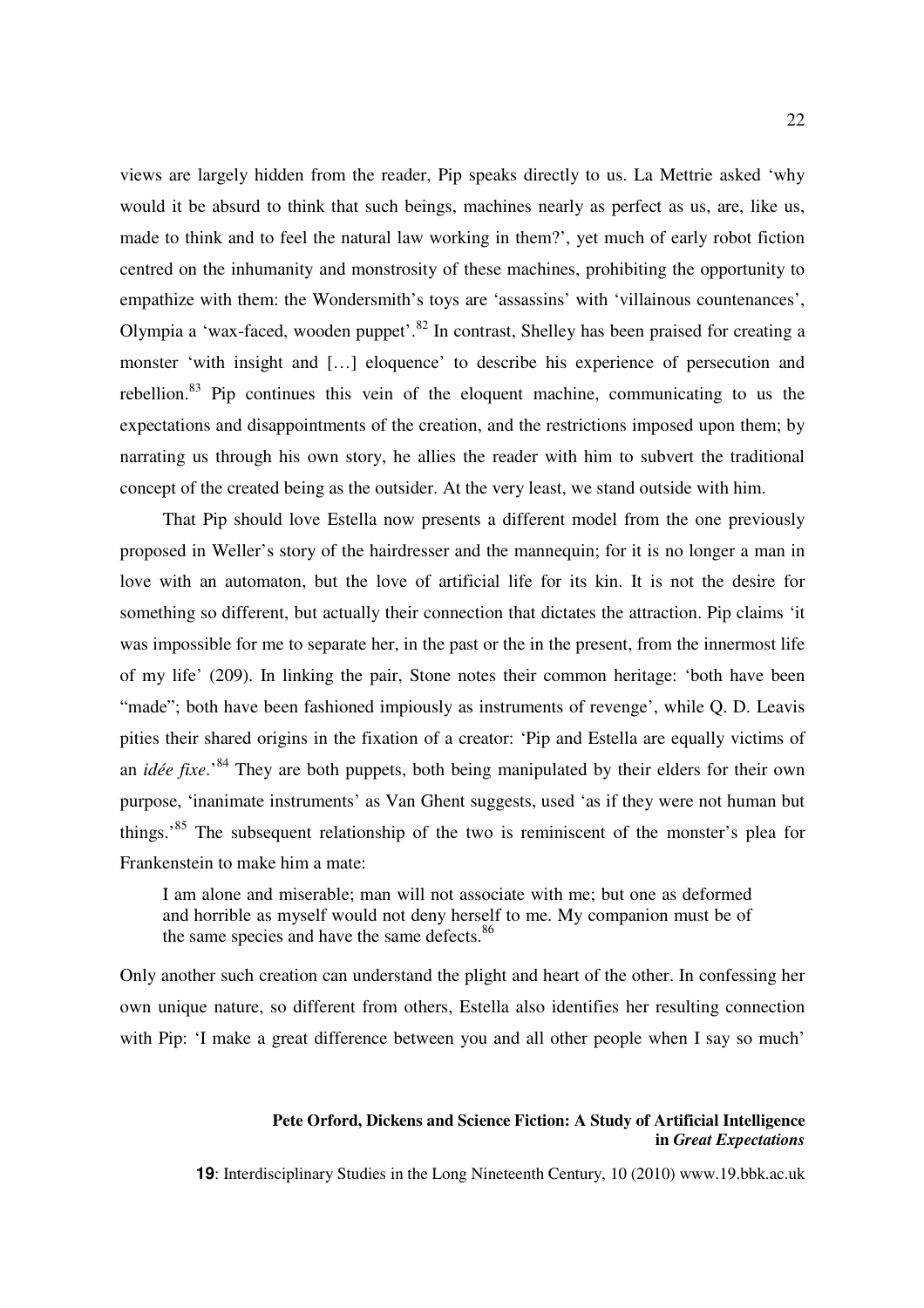views are largely hidden from the reader, Pip speaks directly to us. La Mettrie asked 'why would it be absurd to think that such beings, machines nearly as perfect as us, are, like us, made to think and to feel the natural law working in them?', yet much of early robot fiction centred on the inhumanity and monstrosity of these machines, prohibiting the opportunity to empathize with them: the Wondersmith's toys are 'assassins' with 'villainous countenances', Olympia a 'wax-faced, wooden puppet'.<sup>82</sup> In contrast, Shelley has been praised for creating a monster 'with insight and […] eloquence' to describe his experience of persecution and rebellion.<sup>83</sup> Pip continues this vein of the eloquent machine, communicating to us the expectations and disappointments of the creation, and the restrictions imposed upon them; by narrating us through his own story, he allies the reader with him to subvert the traditional concept of the created being as the outsider. At the very least, we stand outside with him.

That Pip should love Estella now presents a different model from the one previously proposed in Weller's story of the hairdresser and the mannequin; for it is no longer a man in love with an automaton, but the love of artificial life for its kin. It is not the desire for something so different, but actually their connection that dictates the attraction. Pip claims 'it was impossible for me to separate her, in the past or the in the present, from the innermost life of my life' (209). In linking the pair, Stone notes their common heritage: 'both have been "made"; both have been fashioned impiously as instruments of revenge', while Q. D. Leavis pities their shared origins in the fixation of a creator: 'Pip and Estella are equally victims of an *idée fixe*.'<sup>84</sup> They are both puppets, both being manipulated by their elders for their own purpose, 'inanimate instruments' as Van Ghent suggests, used 'as if they were not human but things.<sup>85</sup> The subsequent relationship of the two is reminiscent of the monster's plea for Frankenstein to make him a mate:

I am alone and miserable; man will not associate with me; but one as deformed and horrible as myself would not deny herself to me. My companion must be of the same species and have the same defects.<sup>86</sup>

Only another such creation can understand the plight and heart of the other. In confessing her own unique nature, so different from others, Estella also identifies her resulting connection with Pip: 'I make a great difference between you and all other people when I say so much'

### **Pete Orford, Dickens and Science Fiction: A Study of Artificial Intelligence in** *Great Expectations*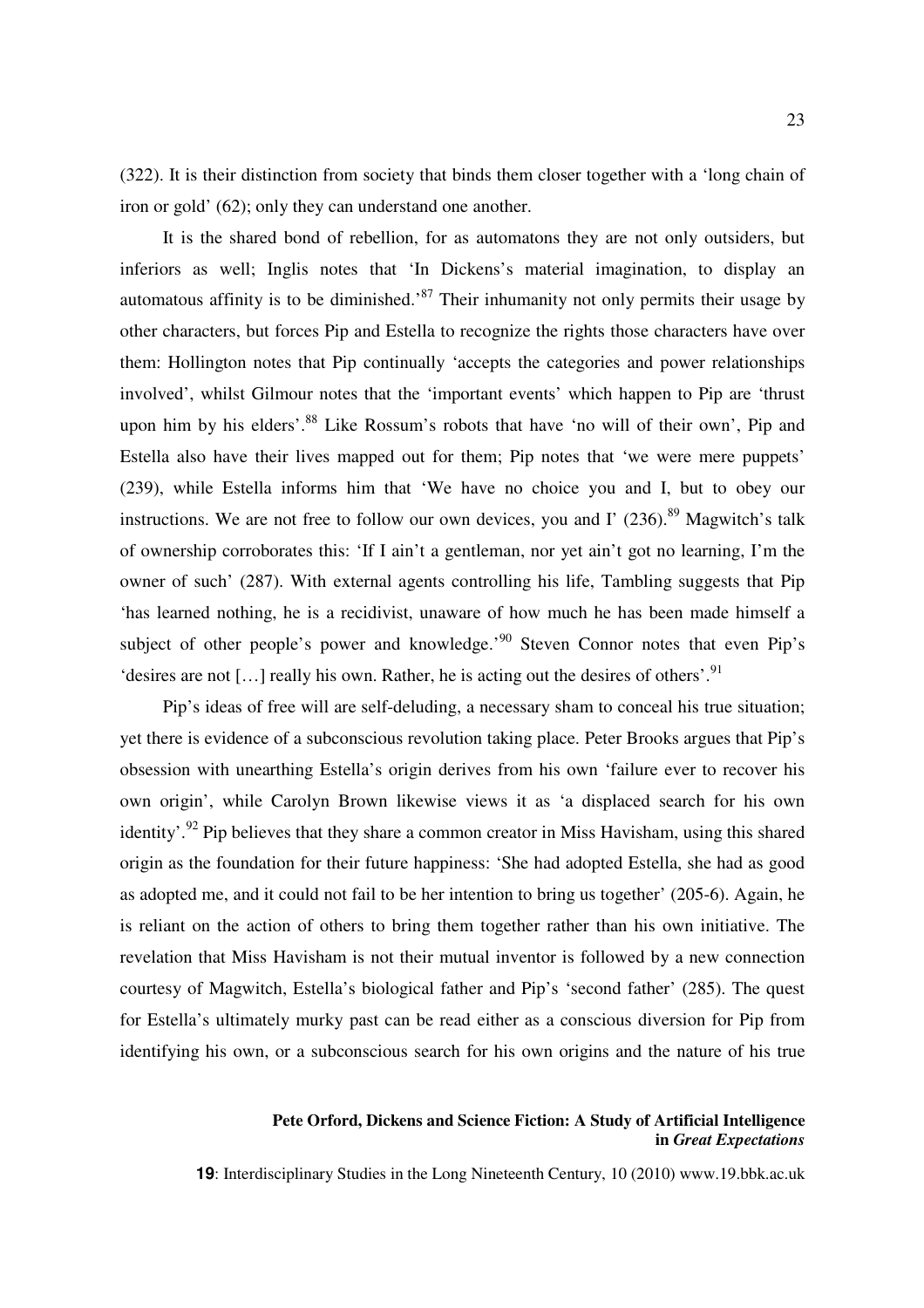(322). It is their distinction from society that binds them closer together with a 'long chain of iron or gold' (62); only they can understand one another.

It is the shared bond of rebellion, for as automatons they are not only outsiders, but inferiors as well; Inglis notes that 'In Dickens's material imagination, to display an automatous affinity is to be diminished.<sup>87</sup> Their inhumanity not only permits their usage by other characters, but forces Pip and Estella to recognize the rights those characters have over them: Hollington notes that Pip continually 'accepts the categories and power relationships involved', whilst Gilmour notes that the 'important events' which happen to Pip are 'thrust upon him by his elders'.<sup>88</sup> Like Rossum's robots that have 'no will of their own', Pip and Estella also have their lives mapped out for them; Pip notes that 'we were mere puppets' (239), while Estella informs him that 'We have no choice you and I, but to obey our instructions. We are not free to follow our own devices, you and I'  $(236)$ .<sup>89</sup> Magwitch's talk of ownership corroborates this: 'If I ain't a gentleman, nor yet ain't got no learning, I'm the owner of such' (287). With external agents controlling his life, Tambling suggests that Pip 'has learned nothing, he is a recidivist, unaware of how much he has been made himself a subject of other people's power and knowledge.<sup>90</sup> Steven Connor notes that even Pip's 'desires are not  $[...]$  really his own. Rather, he is acting out the desires of others'.<sup>91</sup>

Pip's ideas of free will are self-deluding, a necessary sham to conceal his true situation; yet there is evidence of a subconscious revolution taking place. Peter Brooks argues that Pip's obsession with unearthing Estella's origin derives from his own 'failure ever to recover his own origin', while Carolyn Brown likewise views it as 'a displaced search for his own identity'.<sup>92</sup> Pip believes that they share a common creator in Miss Havisham, using this shared origin as the foundation for their future happiness: 'She had adopted Estella, she had as good as adopted me, and it could not fail to be her intention to bring us together' (205-6). Again, he is reliant on the action of others to bring them together rather than his own initiative. The revelation that Miss Havisham is not their mutual inventor is followed by a new connection courtesy of Magwitch, Estella's biological father and Pip's 'second father' (285). The quest for Estella's ultimately murky past can be read either as a conscious diversion for Pip from identifying his own, or a subconscious search for his own origins and the nature of his true

### **Pete Orford, Dickens and Science Fiction: A Study of Artificial Intelligence in** *Great Expectations*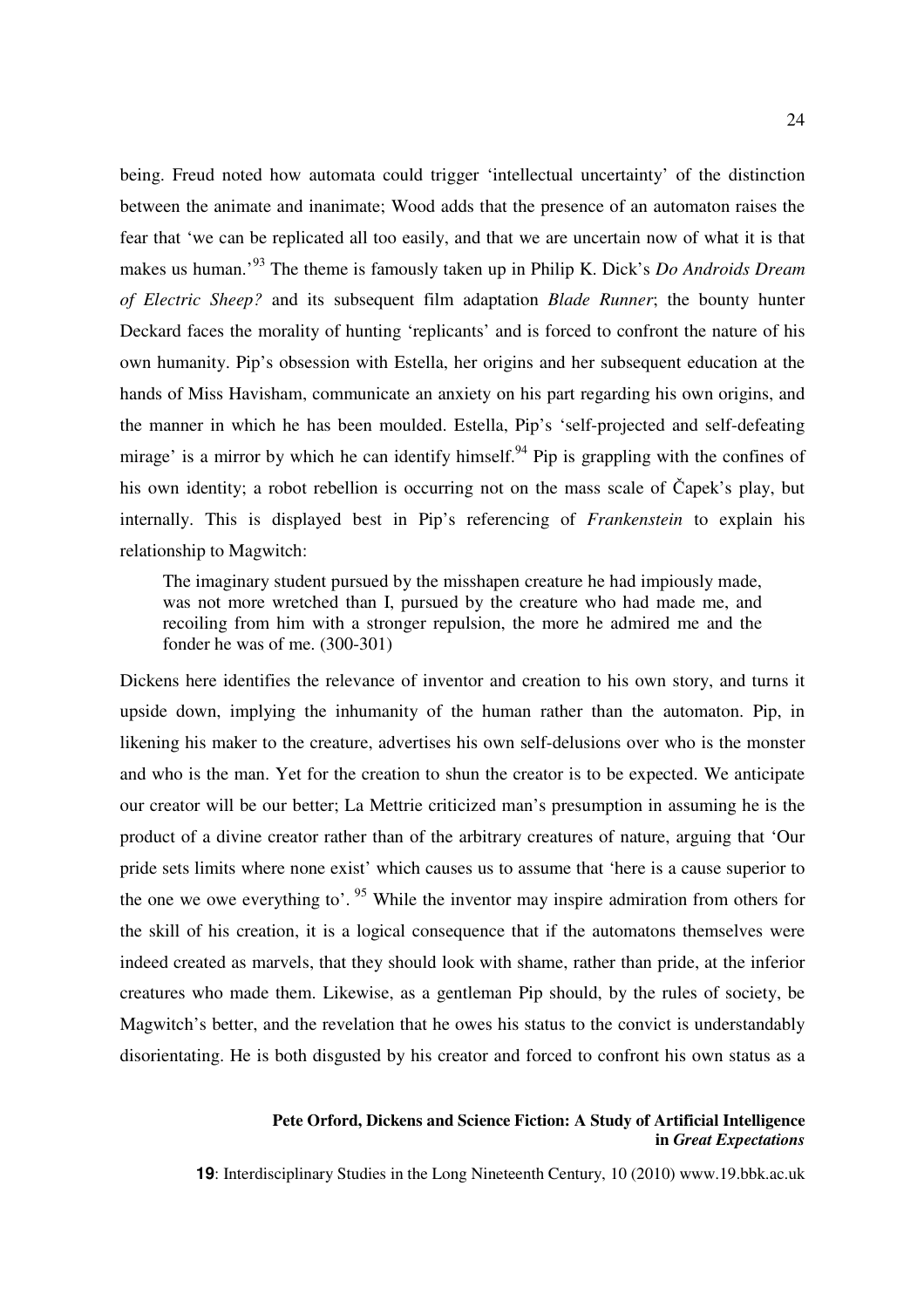being. Freud noted how automata could trigger 'intellectual uncertainty' of the distinction between the animate and inanimate; Wood adds that the presence of an automaton raises the fear that 'we can be replicated all too easily, and that we are uncertain now of what it is that makes us human.'<sup>93</sup> The theme is famously taken up in Philip K. Dick's *Do Androids Dream of Electric Sheep?* and its subsequent film adaptation *Blade Runner*; the bounty hunter Deckard faces the morality of hunting 'replicants' and is forced to confront the nature of his own humanity. Pip's obsession with Estella, her origins and her subsequent education at the hands of Miss Havisham, communicate an anxiety on his part regarding his own origins, and the manner in which he has been moulded. Estella, Pip's 'self-projected and self-defeating mirage' is a mirror by which he can identify himself.<sup>94</sup> Pip is grappling with the confines of his own identity; a robot rebellion is occurring not on the mass scale of Čapek's play, but internally. This is displayed best in Pip's referencing of *Frankenstein* to explain his relationship to Magwitch:

The imaginary student pursued by the misshapen creature he had impiously made, was not more wretched than I, pursued by the creature who had made me, and recoiling from him with a stronger repulsion, the more he admired me and the fonder he was of me. (300-301)

Dickens here identifies the relevance of inventor and creation to his own story, and turns it upside down, implying the inhumanity of the human rather than the automaton. Pip, in likening his maker to the creature, advertises his own self-delusions over who is the monster and who is the man. Yet for the creation to shun the creator is to be expected. We anticipate our creator will be our better; La Mettrie criticized man's presumption in assuming he is the product of a divine creator rather than of the arbitrary creatures of nature, arguing that 'Our pride sets limits where none exist' which causes us to assume that 'here is a cause superior to the one we owe everything to'.<sup>95</sup> While the inventor may inspire admiration from others for the skill of his creation, it is a logical consequence that if the automatons themselves were indeed created as marvels, that they should look with shame, rather than pride, at the inferior creatures who made them. Likewise, as a gentleman Pip should, by the rules of society, be Magwitch's better, and the revelation that he owes his status to the convict is understandably disorientating. He is both disgusted by his creator and forced to confront his own status as a

### **Pete Orford, Dickens and Science Fiction: A Study of Artificial Intelligence in** *Great Expectations*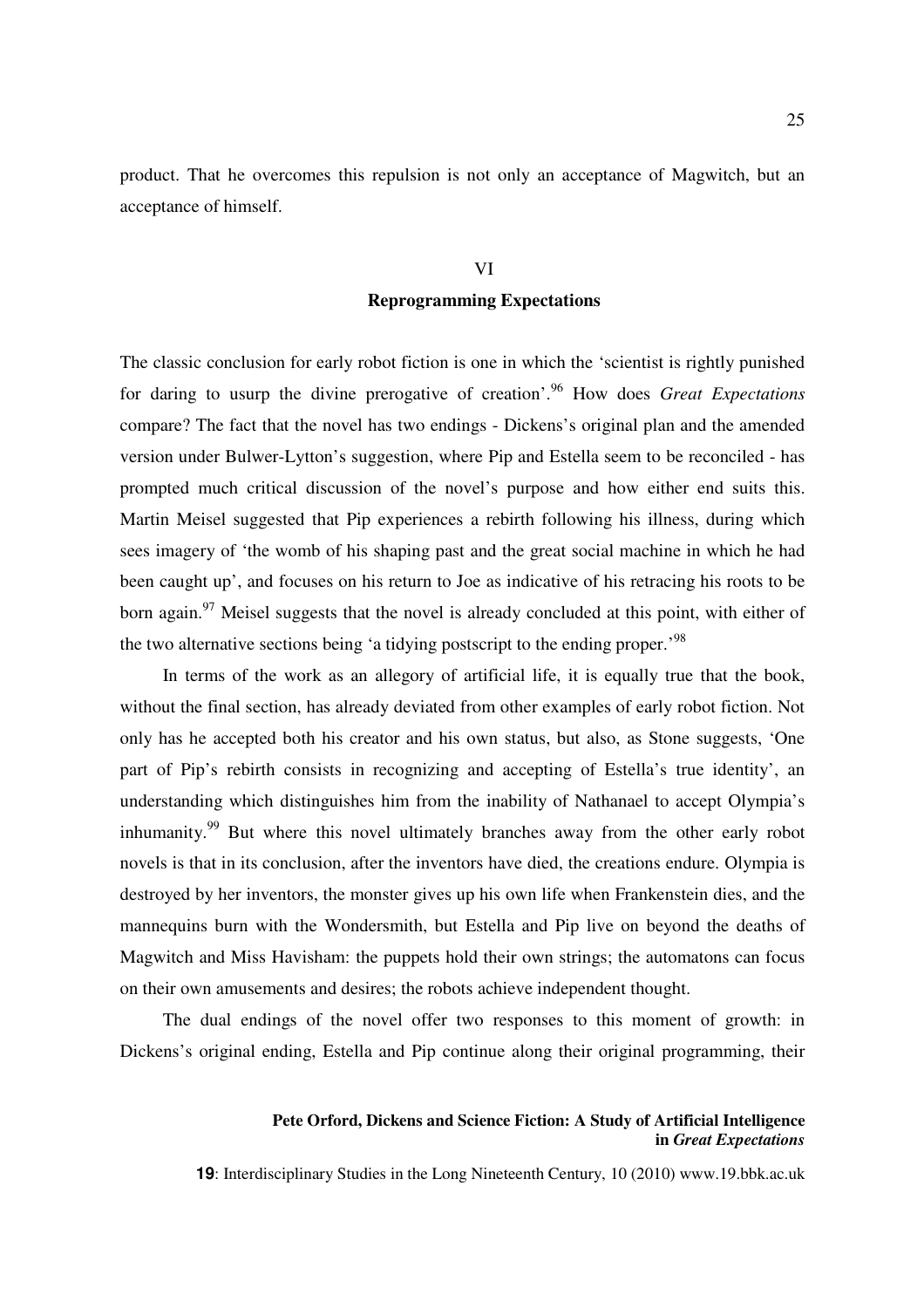product. That he overcomes this repulsion is not only an acceptance of Magwitch, but an acceptance of himself.

## VI

## **Reprogramming Expectations**

The classic conclusion for early robot fiction is one in which the 'scientist is rightly punished for daring to usurp the divine prerogative of creation'.<sup>96</sup> How does *Great Expectations*  compare? The fact that the novel has two endings - Dickens's original plan and the amended version under Bulwer-Lytton's suggestion, where Pip and Estella seem to be reconciled - has prompted much critical discussion of the novel's purpose and how either end suits this. Martin Meisel suggested that Pip experiences a rebirth following his illness, during which sees imagery of 'the womb of his shaping past and the great social machine in which he had been caught up', and focuses on his return to Joe as indicative of his retracing his roots to be born again.<sup>97</sup> Meisel suggests that the novel is already concluded at this point, with either of the two alternative sections being 'a tidying postscript to the ending proper.<sup>98</sup>

In terms of the work as an allegory of artificial life, it is equally true that the book, without the final section, has already deviated from other examples of early robot fiction. Not only has he accepted both his creator and his own status, but also, as Stone suggests, 'One part of Pip's rebirth consists in recognizing and accepting of Estella's true identity', an understanding which distinguishes him from the inability of Nathanael to accept Olympia's inhumanity.<sup>99</sup> But where this novel ultimately branches away from the other early robot novels is that in its conclusion, after the inventors have died, the creations endure. Olympia is destroyed by her inventors, the monster gives up his own life when Frankenstein dies, and the mannequins burn with the Wondersmith, but Estella and Pip live on beyond the deaths of Magwitch and Miss Havisham: the puppets hold their own strings; the automatons can focus on their own amusements and desires; the robots achieve independent thought.

The dual endings of the novel offer two responses to this moment of growth: in Dickens's original ending, Estella and Pip continue along their original programming, their

### **Pete Orford, Dickens and Science Fiction: A Study of Artificial Intelligence in** *Great Expectations*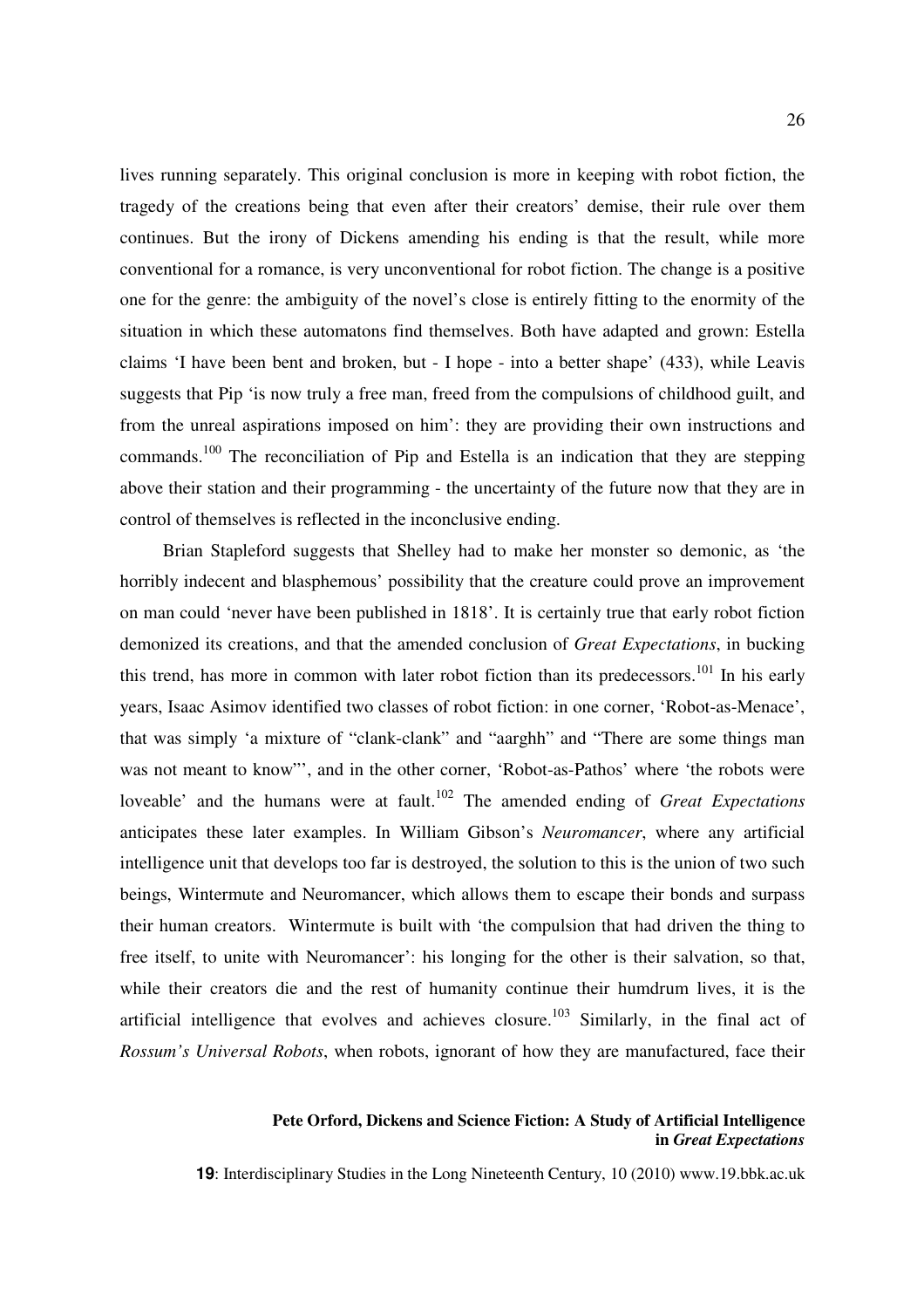lives running separately. This original conclusion is more in keeping with robot fiction, the tragedy of the creations being that even after their creators' demise, their rule over them continues. But the irony of Dickens amending his ending is that the result, while more conventional for a romance, is very unconventional for robot fiction. The change is a positive one for the genre: the ambiguity of the novel's close is entirely fitting to the enormity of the situation in which these automatons find themselves. Both have adapted and grown: Estella claims 'I have been bent and broken, but - I hope - into a better shape' (433), while Leavis suggests that Pip 'is now truly a free man, freed from the compulsions of childhood guilt, and from the unreal aspirations imposed on him': they are providing their own instructions and commands.<sup>100</sup> The reconciliation of Pip and Estella is an indication that they are stepping above their station and their programming - the uncertainty of the future now that they are in control of themselves is reflected in the inconclusive ending.

Brian Stapleford suggests that Shelley had to make her monster so demonic, as 'the horribly indecent and blasphemous' possibility that the creature could prove an improvement on man could 'never have been published in 1818'. It is certainly true that early robot fiction demonized its creations, and that the amended conclusion of *Great Expectations*, in bucking this trend, has more in common with later robot fiction than its predecessors.<sup>101</sup> In his early years, Isaac Asimov identified two classes of robot fiction: in one corner, 'Robot-as-Menace', that was simply 'a mixture of "clank-clank" and "aarghh" and "There are some things man was not meant to know"', and in the other corner, 'Robot-as-Pathos' where 'the robots were loveable' and the humans were at fault.<sup>102</sup> The amended ending of *Great Expectations* anticipates these later examples. In William Gibson's *Neuromancer*, where any artificial intelligence unit that develops too far is destroyed, the solution to this is the union of two such beings, Wintermute and Neuromancer, which allows them to escape their bonds and surpass their human creators. Wintermute is built with 'the compulsion that had driven the thing to free itself, to unite with Neuromancer': his longing for the other is their salvation, so that, while their creators die and the rest of humanity continue their humdrum lives, it is the artificial intelligence that evolves and achieves closure.<sup>103</sup> Similarly, in the final act of *Rossum's Universal Robots*, when robots, ignorant of how they are manufactured, face their

### **Pete Orford, Dickens and Science Fiction: A Study of Artificial Intelligence in** *Great Expectations*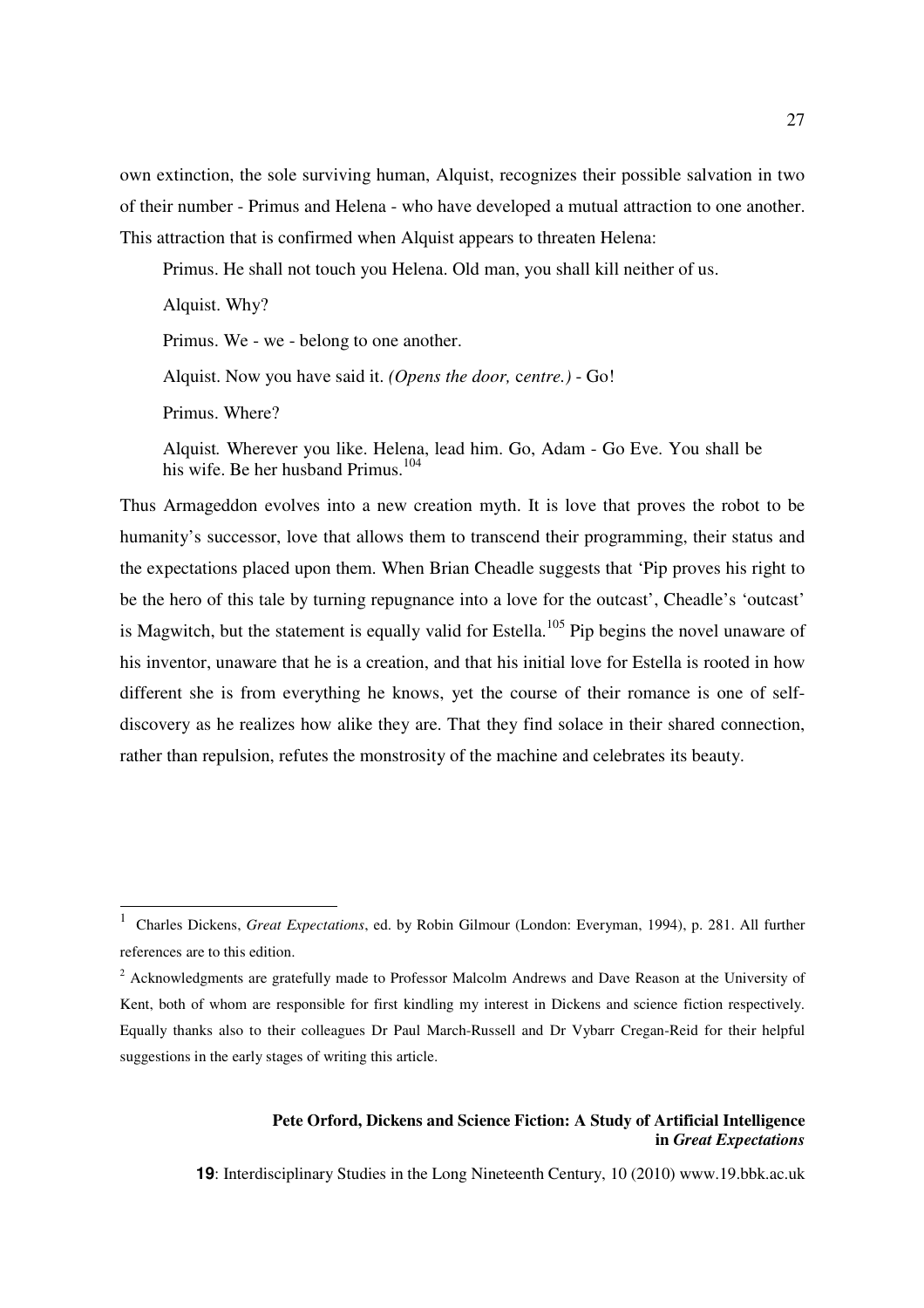own extinction, the sole surviving human, Alquist, recognizes their possible salvation in two of their number - Primus and Helena - who have developed a mutual attraction to one another. This attraction that is confirmed when Alquist appears to threaten Helena:

Primus. He shall not touch you Helena. Old man, you shall kill neither of us.

Alquist. Why?

Primus. We - we - belong to one another.

Alquist. Now you have said it. *(Opens the door,* c*entre.)* - Go!

Primus. Where?

 $\overline{a}$ 

Alquist*.* Wherever you like. Helena, lead him. Go, Adam - Go Eve. You shall be his wife. Be her husband Primus.<sup>104</sup>

Thus Armageddon evolves into a new creation myth. It is love that proves the robot to be humanity's successor, love that allows them to transcend their programming, their status and the expectations placed upon them. When Brian Cheadle suggests that 'Pip proves his right to be the hero of this tale by turning repugnance into a love for the outcast', Cheadle's 'outcast' is Magwitch, but the statement is equally valid for Estella.<sup>105</sup> Pip begins the novel unaware of his inventor, unaware that he is a creation, and that his initial love for Estella is rooted in how different she is from everything he knows, yet the course of their romance is one of selfdiscovery as he realizes how alike they are. That they find solace in their shared connection, rather than repulsion, refutes the monstrosity of the machine and celebrates its beauty.

### **Pete Orford, Dickens and Science Fiction: A Study of Artificial Intelligence in** *Great Expectations*

<sup>1</sup> Charles Dickens, *Great Expectations*, ed. by Robin Gilmour (London: Everyman, 1994), p. 281. All further references are to this edition.

<sup>&</sup>lt;sup>2</sup> Acknowledgments are gratefully made to Professor Malcolm Andrews and Dave Reason at the University of Kent, both of whom are responsible for first kindling my interest in Dickens and science fiction respectively. Equally thanks also to their colleagues Dr Paul March-Russell and Dr Vybarr Cregan-Reid for their helpful suggestions in the early stages of writing this article.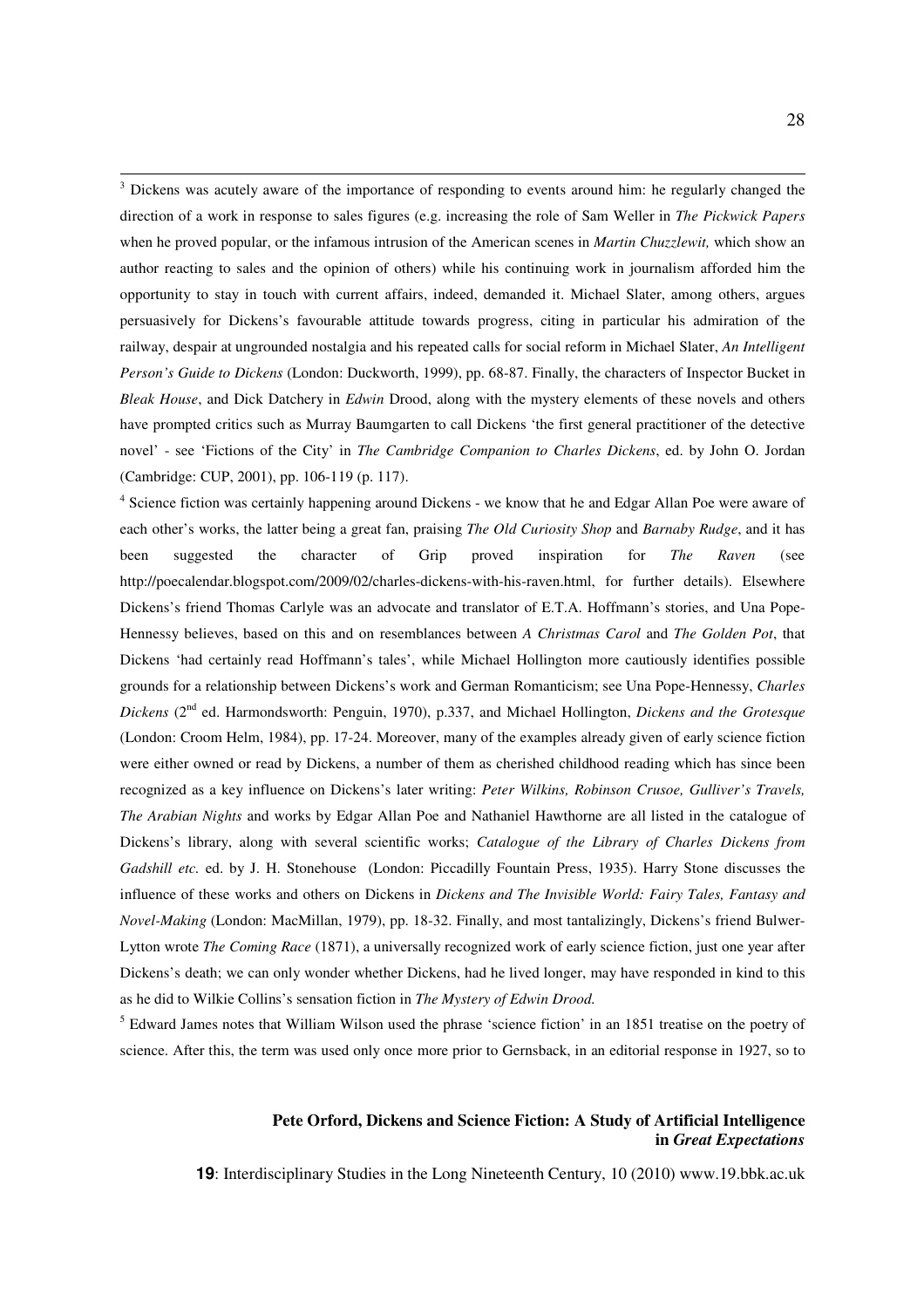<sup>3</sup> Dickens was acutely aware of the importance of responding to events around him: he regularly changed the direction of a work in response to sales figures (e.g. increasing the role of Sam Weller in *The Pickwick Papers*  when he proved popular, or the infamous intrusion of the American scenes in *Martin Chuzzlewit,* which show an author reacting to sales and the opinion of others) while his continuing work in journalism afforded him the opportunity to stay in touch with current affairs, indeed, demanded it. Michael Slater, among others, argues persuasively for Dickens's favourable attitude towards progress, citing in particular his admiration of the railway, despair at ungrounded nostalgia and his repeated calls for social reform in Michael Slater, *An Intelligent Person's Guide to Dickens* (London: Duckworth, 1999), pp. 68-87. Finally, the characters of Inspector Bucket in *Bleak House*, and Dick Datchery in *Edwin* Drood, along with the mystery elements of these novels and others have prompted critics such as Murray Baumgarten to call Dickens 'the first general practitioner of the detective novel' - see 'Fictions of the City' in *The Cambridge Companion to Charles Dickens*, ed. by John O. Jordan (Cambridge: CUP, 2001), pp. 106-119 (p. 117).

 $\overline{a}$ 

<sup>4</sup> Science fiction was certainly happening around Dickens - we know that he and Edgar Allan Poe were aware of each other's works, the latter being a great fan, praising *The Old Curiosity Shop* and *Barnaby Rudge*, and it has been suggested the character of Grip proved inspiration for *The Raven* (see http://poecalendar.blogspot.com/2009/02/charles-dickens-with-his-raven.html, for further details). Elsewhere Dickens's friend Thomas Carlyle was an advocate and translator of E.T.A. Hoffmann's stories, and Una Pope-Hennessy believes, based on this and on resemblances between *A Christmas Carol* and *The Golden Pot*, that Dickens 'had certainly read Hoffmann's tales', while Michael Hollington more cautiously identifies possible grounds for a relationship between Dickens's work and German Romanticism; see Una Pope-Hennessy, *Charles Dickens* (2nd ed. Harmondsworth: Penguin, 1970), p.337, and Michael Hollington, *Dickens and the Grotesque*  (London: Croom Helm, 1984), pp. 17-24. Moreover, many of the examples already given of early science fiction were either owned or read by Dickens, a number of them as cherished childhood reading which has since been recognized as a key influence on Dickens's later writing: *Peter Wilkins, Robinson Crusoe, Gulliver's Travels, The Arabian Nights* and works by Edgar Allan Poe and Nathaniel Hawthorne are all listed in the catalogue of Dickens's library, along with several scientific works; *Catalogue of the Library of Charles Dickens from Gadshill etc.* ed. by J. H. Stonehouse (London: Piccadilly Fountain Press, 1935). Harry Stone discusses the influence of these works and others on Dickens in *Dickens and The Invisible World: Fairy Tales, Fantasy and Novel-Making* (London: MacMillan, 1979), pp. 18-32. Finally, and most tantalizingly, Dickens's friend Bulwer-Lytton wrote *The Coming Race* (1871), a universally recognized work of early science fiction, just one year after Dickens's death; we can only wonder whether Dickens, had he lived longer, may have responded in kind to this as he did to Wilkie Collins's sensation fiction in *The Mystery of Edwin Drood.*

<sup>5</sup> Edward James notes that William Wilson used the phrase 'science fiction' in an 1851 treatise on the poetry of science. After this, the term was used only once more prior to Gernsback, in an editorial response in 1927, so to

### **Pete Orford, Dickens and Science Fiction: A Study of Artificial Intelligence in** *Great Expectations*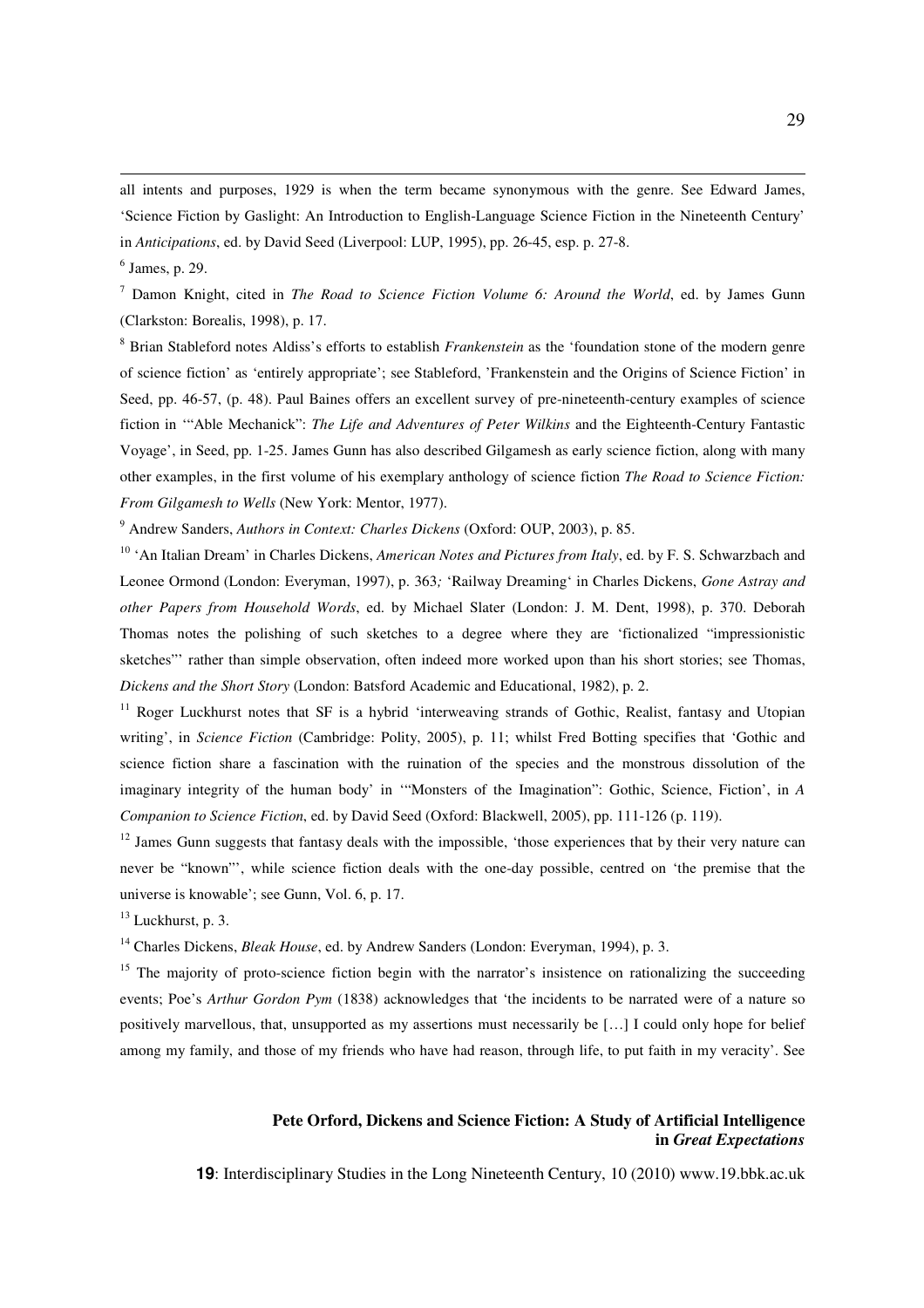all intents and purposes, 1929 is when the term became synonymous with the genre. See Edward James, 'Science Fiction by Gaslight: An Introduction to English-Language Science Fiction in the Nineteenth Century' in *Anticipations*, ed. by David Seed (Liverpool: LUP, 1995), pp. 26-45, esp. p. 27-8.

 $\overline{a}$ 

7 Damon Knight, cited in *The Road to Science Fiction Volume 6: Around the World*, ed. by James Gunn (Clarkston: Borealis, 1998), p. 17.

8 Brian Stableford notes Aldiss's efforts to establish *Frankenstein* as the 'foundation stone of the modern genre of science fiction' as 'entirely appropriate'; see Stableford, 'Frankenstein and the Origins of Science Fiction' in Seed, pp. 46-57, (p. 48). Paul Baines offers an excellent survey of pre-nineteenth-century examples of science fiction in '"Able Mechanick": *The Life and Adventures of Peter Wilkins* and the Eighteenth-Century Fantastic Voyage', in Seed, pp. 1-25. James Gunn has also described Gilgamesh as early science fiction, along with many other examples, in the first volume of his exemplary anthology of science fiction *The Road to Science Fiction: From Gilgamesh to Wells* (New York: Mentor, 1977).

9 Andrew Sanders, *Authors in Context: Charles Dickens* (Oxford: OUP, 2003), p. 85.

<sup>10</sup> 'An Italian Dream' in Charles Dickens, *American Notes and Pictures from Italy*, ed. by F. S. Schwarzbach and Leonee Ormond (London: Everyman, 1997), p. 363*;* 'Railway Dreaming' in Charles Dickens, *Gone Astray and other Papers from Household Words*, ed. by Michael Slater (London: J. M. Dent, 1998), p. 370. Deborah Thomas notes the polishing of such sketches to a degree where they are 'fictionalized "impressionistic sketches"' rather than simple observation, often indeed more worked upon than his short stories; see Thomas, *Dickens and the Short Story* (London: Batsford Academic and Educational, 1982), p. 2.

<sup>11</sup> Roger Luckhurst notes that SF is a hybrid 'interweaving strands of Gothic, Realist, fantasy and Utopian writing', in *Science Fiction* (Cambridge: Polity, 2005), p. 11; whilst Fred Botting specifies that 'Gothic and science fiction share a fascination with the ruination of the species and the monstrous dissolution of the imaginary integrity of the human body' in '"Monsters of the Imagination": Gothic, Science, Fiction', in *A Companion to Science Fiction*, ed. by David Seed (Oxford: Blackwell, 2005), pp. 111-126 (p. 119).

 $12$  James Gunn suggests that fantasy deals with the impossible, 'those experiences that by their very nature can never be "known"', while science fiction deals with the one-day possible, centred on 'the premise that the universe is knowable'; see Gunn, Vol. 6, p. 17.

 $13$  Luckhurst, p. 3.

<sup>14</sup> Charles Dickens, *Bleak House*, ed. by Andrew Sanders (London: Everyman, 1994), p. 3.

<sup>15</sup> The majority of proto-science fiction begin with the narrator's insistence on rationalizing the succeeding events; Poe's *Arthur Gordon Pym* (1838) acknowledges that 'the incidents to be narrated were of a nature so positively marvellous, that, unsupported as my assertions must necessarily be […] I could only hope for belief among my family, and those of my friends who have had reason, through life, to put faith in my veracity'. See

### **Pete Orford, Dickens and Science Fiction: A Study of Artificial Intelligence in** *Great Expectations*

<sup>6</sup> James, p. 29.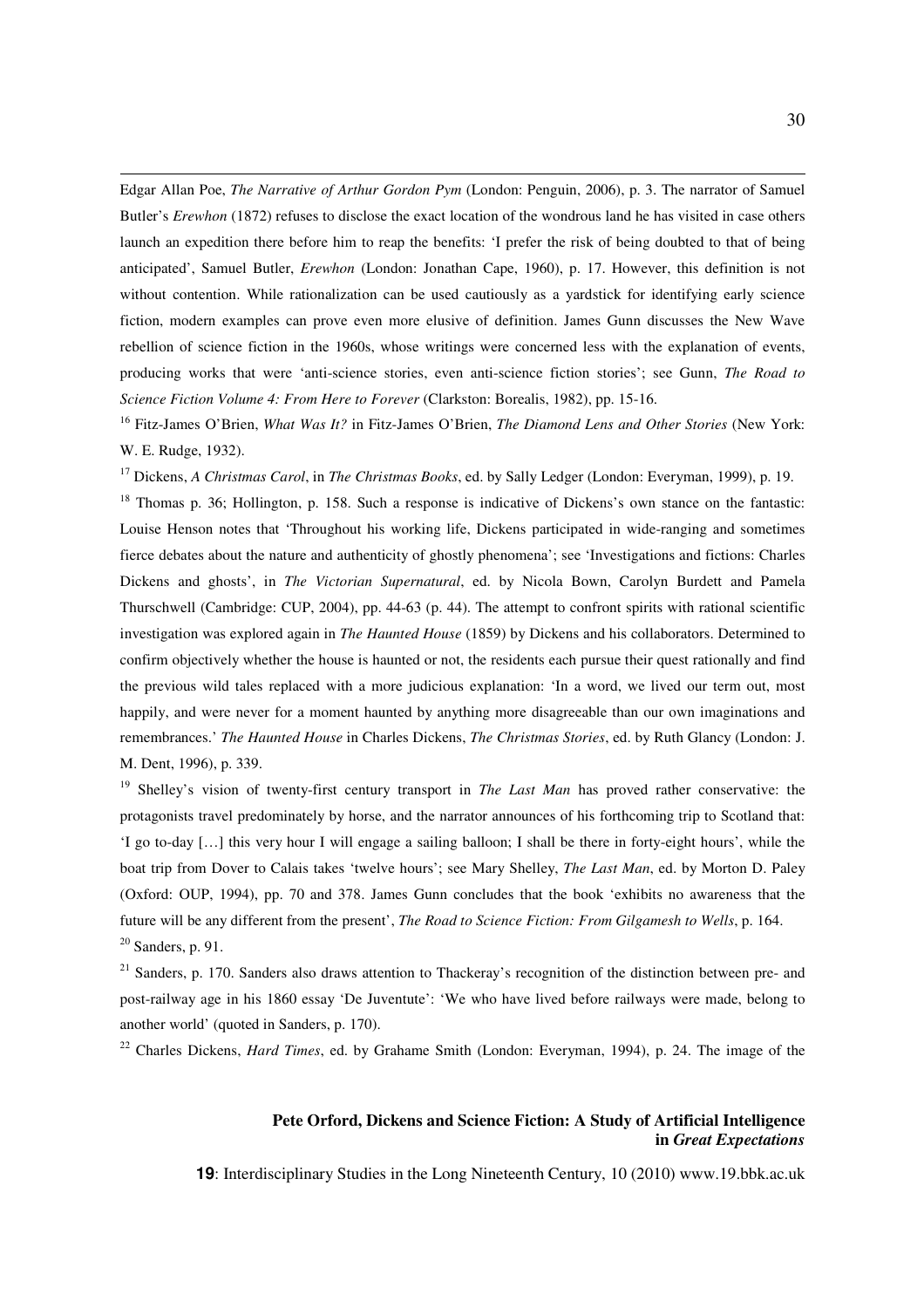Edgar Allan Poe, *The Narrative of Arthur Gordon Pym* (London: Penguin, 2006), p. 3. The narrator of Samuel Butler's *Erewhon* (1872) refuses to disclose the exact location of the wondrous land he has visited in case others launch an expedition there before him to reap the benefits: 'I prefer the risk of being doubted to that of being anticipated', Samuel Butler, *Erewhon* (London: Jonathan Cape, 1960), p. 17. However, this definition is not without contention. While rationalization can be used cautiously as a yardstick for identifying early science fiction, modern examples can prove even more elusive of definition. James Gunn discusses the New Wave rebellion of science fiction in the 1960s, whose writings were concerned less with the explanation of events, producing works that were 'anti-science stories, even anti-science fiction stories'; see Gunn, *The Road to Science Fiction Volume 4: From Here to Forever* (Clarkston: Borealis, 1982), pp. 15-16.

 $\overline{a}$ 

<sup>16</sup> Fitz-James O'Brien, *What Was It?* in Fitz-James O'Brien, *The Diamond Lens and Other Stories* (New York: W. E. Rudge, 1932).

<sup>17</sup> Dickens, *A Christmas Carol*, in *The Christmas Books*, ed. by Sally Ledger (London: Everyman, 1999), p. 19.

<sup>18</sup> Thomas p. 36; Hollington, p. 158. Such a response is indicative of Dickens's own stance on the fantastic: Louise Henson notes that 'Throughout his working life, Dickens participated in wide-ranging and sometimes fierce debates about the nature and authenticity of ghostly phenomena'; see 'Investigations and fictions: Charles Dickens and ghosts', in *The Victorian Supernatural*, ed. by Nicola Bown, Carolyn Burdett and Pamela Thurschwell (Cambridge: CUP, 2004), pp. 44-63 (p. 44). The attempt to confront spirits with rational scientific investigation was explored again in *The Haunted House* (1859) by Dickens and his collaborators. Determined to confirm objectively whether the house is haunted or not, the residents each pursue their quest rationally and find the previous wild tales replaced with a more judicious explanation: 'In a word, we lived our term out, most happily, and were never for a moment haunted by anything more disagreeable than our own imaginations and remembrances.' *The Haunted House* in Charles Dickens, *The Christmas Stories*, ed. by Ruth Glancy (London: J. M. Dent, 1996), p. 339.

<sup>19</sup> Shelley's vision of twenty-first century transport in *The Last Man* has proved rather conservative: the protagonists travel predominately by horse, and the narrator announces of his forthcoming trip to Scotland that: 'I go to-day […] this very hour I will engage a sailing balloon; I shall be there in forty-eight hours', while the boat trip from Dover to Calais takes 'twelve hours'; see Mary Shelley, *The Last Man*, ed. by Morton D. Paley (Oxford: OUP, 1994), pp. 70 and 378. James Gunn concludes that the book 'exhibits no awareness that the future will be any different from the present', *The Road to Science Fiction: From Gilgamesh to Wells*, p. 164.  $20$  Sanders, p. 91.

 $21$  Sanders, p. 170. Sanders also draws attention to Thackeray's recognition of the distinction between pre- and post-railway age in his 1860 essay 'De Juventute': 'We who have lived before railways were made, belong to another world' (quoted in Sanders, p. 170).

<sup>22</sup> Charles Dickens, *Hard Times*, ed. by Grahame Smith (London: Everyman, 1994), p. 24. The image of the

### **Pete Orford, Dickens and Science Fiction: A Study of Artificial Intelligence in** *Great Expectations*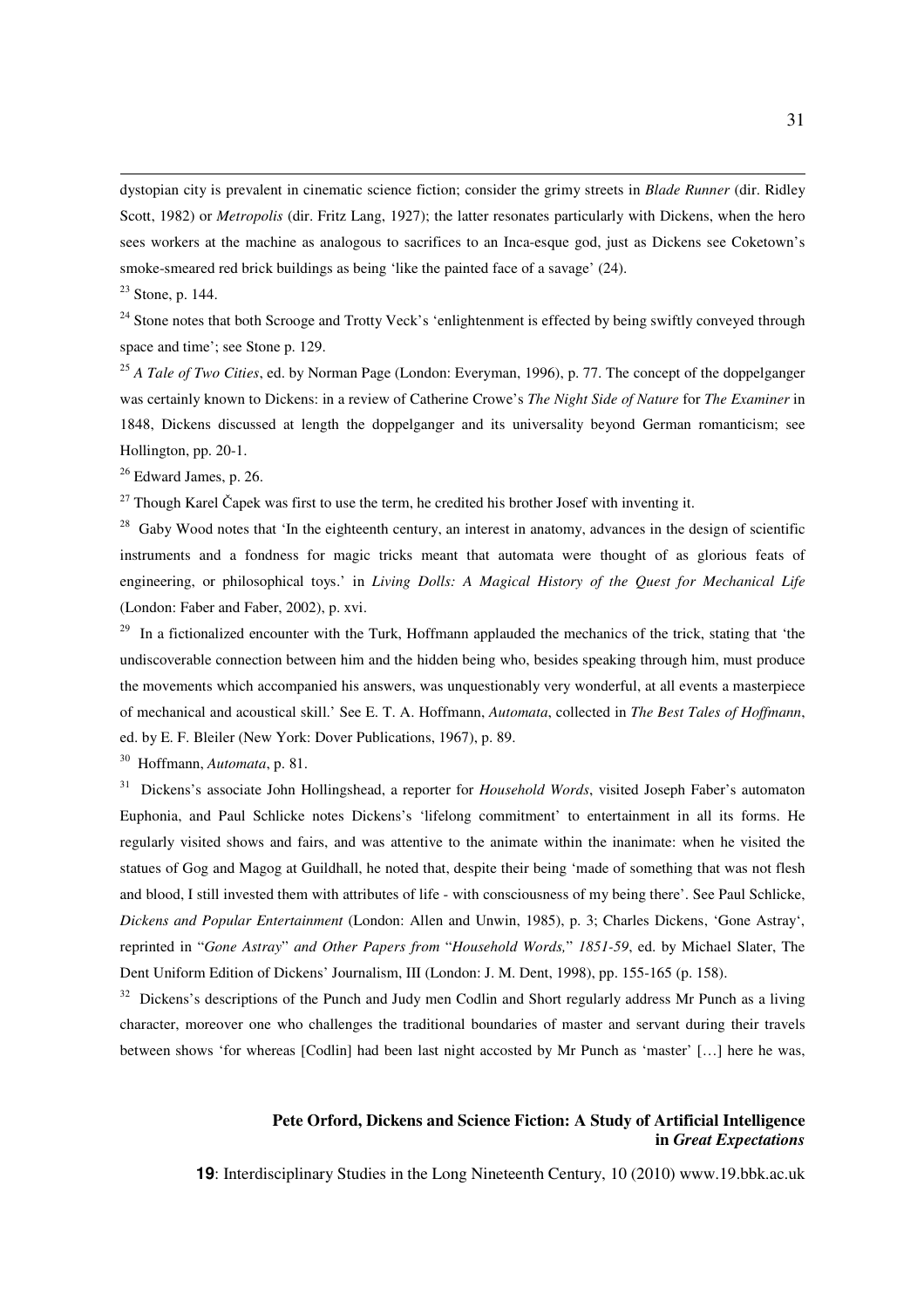dystopian city is prevalent in cinematic science fiction; consider the grimy streets in *Blade Runner* (dir. Ridley Scott, 1982) or *Metropolis* (dir. Fritz Lang, 1927); the latter resonates particularly with Dickens, when the hero sees workers at the machine as analogous to sacrifices to an Inca-esque god, just as Dickens see Coketown's smoke-smeared red brick buildings as being 'like the painted face of a savage' (24).

 $\overline{a}$ 

 $24$  Stone notes that both Scrooge and Trotty Veck's 'enlightenment is effected by being swiftly conveyed through space and time'; see Stone p. 129.

<sup>25</sup> *A Tale of Two Cities*, ed. by Norman Page (London: Everyman, 1996), p. 77. The concept of the doppelganger was certainly known to Dickens: in a review of Catherine Crowe's *The Night Side of Nature* for *The Examiner* in 1848, Dickens discussed at length the doppelganger and its universality beyond German romanticism; see Hollington, pp. 20-1.

 $26$  Edward James, p. 26.

 $27$  Though Karel Čapek was first to use the term, he credited his brother Josef with inventing it.

<sup>28</sup> Gaby Wood notes that 'In the eighteenth century, an interest in anatomy, advances in the design of scientific instruments and a fondness for magic tricks meant that automata were thought of as glorious feats of engineering, or philosophical toys.' in *Living Dolls: A Magical History of the Quest for Mechanical Life*  (London: Faber and Faber, 2002), p. xvi.

<sup>29</sup> In a fictionalized encounter with the Turk, Hoffmann applauded the mechanics of the trick, stating that 'the undiscoverable connection between him and the hidden being who, besides speaking through him, must produce the movements which accompanied his answers, was unquestionably very wonderful, at all events a masterpiece of mechanical and acoustical skill.' See E. T. A. Hoffmann, *Automata*, collected in *The Best Tales of Hoffmann*, ed. by E. F. Bleiler (New York: Dover Publications, 1967), p. 89.

<sup>30</sup> Hoffmann, *Automata*, p. 81.

<sup>31</sup> Dickens's associate John Hollingshead, a reporter for *Household Words*, visited Joseph Faber's automaton Euphonia, and Paul Schlicke notes Dickens's 'lifelong commitment' to entertainment in all its forms. He regularly visited shows and fairs, and was attentive to the animate within the inanimate: when he visited the statues of Gog and Magog at Guildhall, he noted that, despite their being 'made of something that was not flesh and blood, I still invested them with attributes of life - with consciousness of my being there'. See Paul Schlicke, *Dickens and Popular Entertainment* (London: Allen and Unwin, 1985), p. 3; Charles Dickens, 'Gone Astray', reprinted in "*Gone Astray*" *and Other Papers from* "*Household Words,*" *1851-59*, ed. by Michael Slater, The Dent Uniform Edition of Dickens' Journalism, III (London: J. M. Dent, 1998), pp. 155-165 (p. 158).

<sup>32</sup> Dickens's descriptions of the Punch and Judy men Codlin and Short regularly address Mr Punch as a living character, moreover one who challenges the traditional boundaries of master and servant during their travels between shows 'for whereas [Codlin] had been last night accosted by Mr Punch as 'master' […] here he was,

### **Pete Orford, Dickens and Science Fiction: A Study of Artificial Intelligence in** *Great Expectations*

 $23$  Stone, p. 144.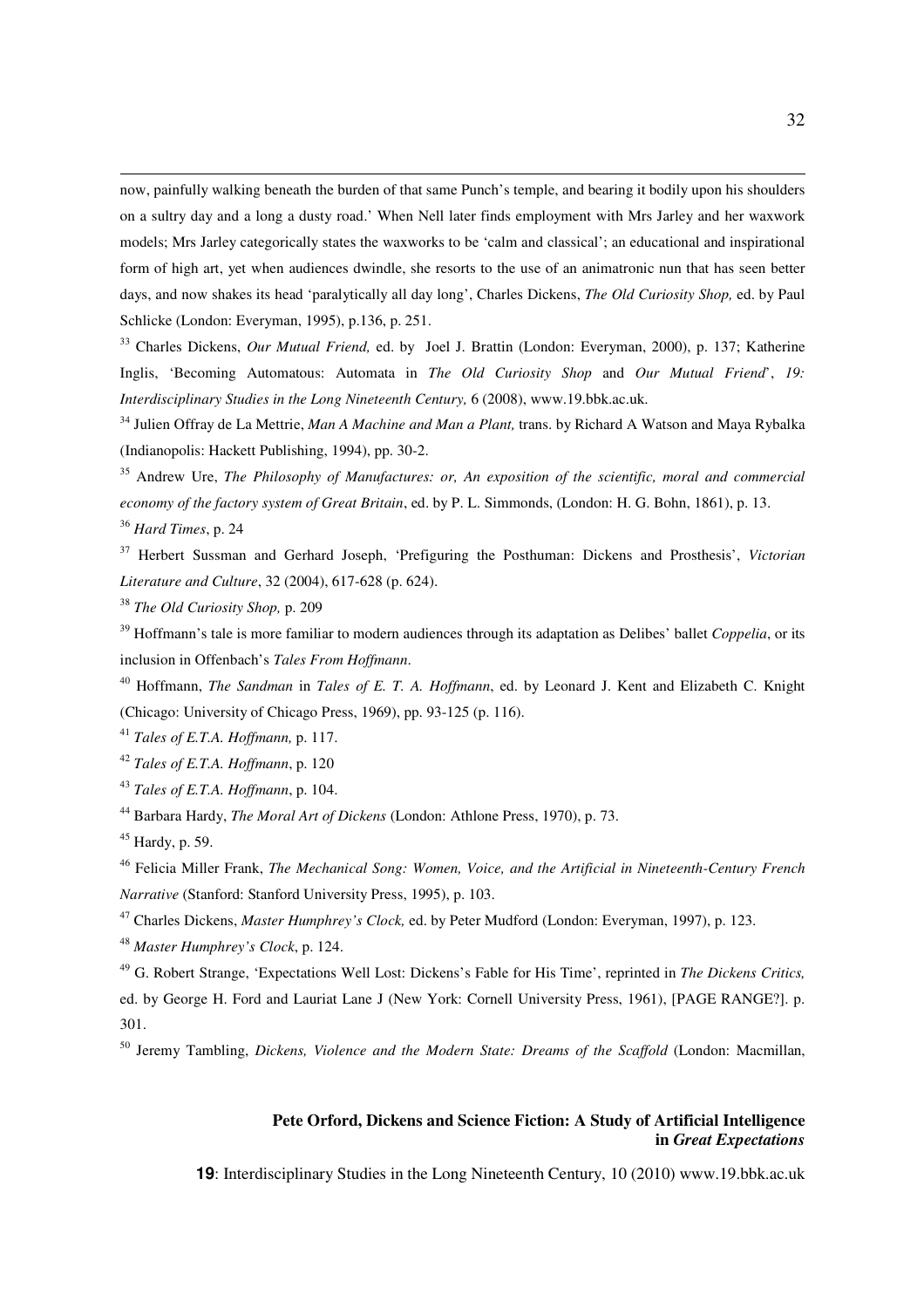now, painfully walking beneath the burden of that same Punch's temple, and bearing it bodily upon his shoulders on a sultry day and a long a dusty road.' When Nell later finds employment with Mrs Jarley and her waxwork models; Mrs Jarley categorically states the waxworks to be 'calm and classical'; an educational and inspirational form of high art, yet when audiences dwindle, she resorts to the use of an animatronic nun that has seen better days, and now shakes its head 'paralytically all day long', Charles Dickens, *The Old Curiosity Shop,* ed. by Paul Schlicke (London: Everyman, 1995), p.136, p. 251.

<sup>33</sup> Charles Dickens, *Our Mutual Friend,* ed. by Joel J. Brattin (London: Everyman, 2000), p. 137; Katherine Inglis, 'Becoming Automatous: Automata in *The Old Curiosity Shop* and *Our Mutual Friend*', *19: Interdisciplinary Studies in the Long Nineteenth Century,* 6 (2008), www.19.bbk.ac.uk.

<sup>34</sup> Julien Offray de La Mettrie, *Man A Machine and Man a Plant,* trans. by Richard A Watson and Maya Rybalka (Indianopolis: Hackett Publishing, 1994), pp. 30-2.

<sup>35</sup> Andrew Ure, *The Philosophy of Manufactures: or, An exposition of the scientific, moral and commercial economy of the factory system of Great Britain*, ed. by P. L. Simmonds, (London: H. G. Bohn, 1861), p. 13.

<sup>36</sup> *Hard Times*, p. 24

 $\overline{a}$ 

<sup>37</sup> Herbert Sussman and Gerhard Joseph, 'Prefiguring the Posthuman: Dickens and Prosthesis', *Victorian Literature and Culture*, 32 (2004), 617-628 (p. 624).

<sup>38</sup> *The Old Curiosity Shop,* p. 209

<sup>39</sup> Hoffmann's tale is more familiar to modern audiences through its adaptation as Delibes' ballet *Coppelia*, or its inclusion in Offenbach's *Tales From Hoffmann*.

<sup>40</sup> Hoffmann, *The Sandman* in *Tales of E. T. A. Hoffmann*, ed. by Leonard J. Kent and Elizabeth C. Knight (Chicago: University of Chicago Press, 1969), pp. 93-125 (p. 116).

<sup>41</sup> *Tales of E.T.A. Hoffmann,* p. 117.

<sup>42</sup> *Tales of E.T.A. Hoffmann*, p. 120

<sup>43</sup> *Tales of E.T.A. Hoffmann*, p. 104.

<sup>44</sup> Barbara Hardy, *The Moral Art of Dickens* (London: Athlone Press, 1970), p. 73.

 $45$  Hardy, p. 59.

<sup>46</sup> Felicia Miller Frank, *The Mechanical Song: Women, Voice, and the Artificial in Nineteenth-Century French Narrative* (Stanford: Stanford University Press, 1995), p. 103.

<sup>47</sup> Charles Dickens, *Master Humphrey's Clock,* ed. by Peter Mudford (London: Everyman, 1997), p. 123.

<sup>48</sup> *Master Humphrey's Clock*, p. 124.

<sup>49</sup> G. Robert Strange, 'Expectations Well Lost: Dickens's Fable for His Time', reprinted in *The Dickens Critics,*  ed. by George H. Ford and Lauriat Lane J (New York: Cornell University Press, 1961), [PAGE RANGE?]. p. 301.

<sup>50</sup> Jeremy Tambling, *Dickens, Violence and the Modern State: Dreams of the Scaffold* (London: Macmillan,

### **Pete Orford, Dickens and Science Fiction: A Study of Artificial Intelligence in** *Great Expectations*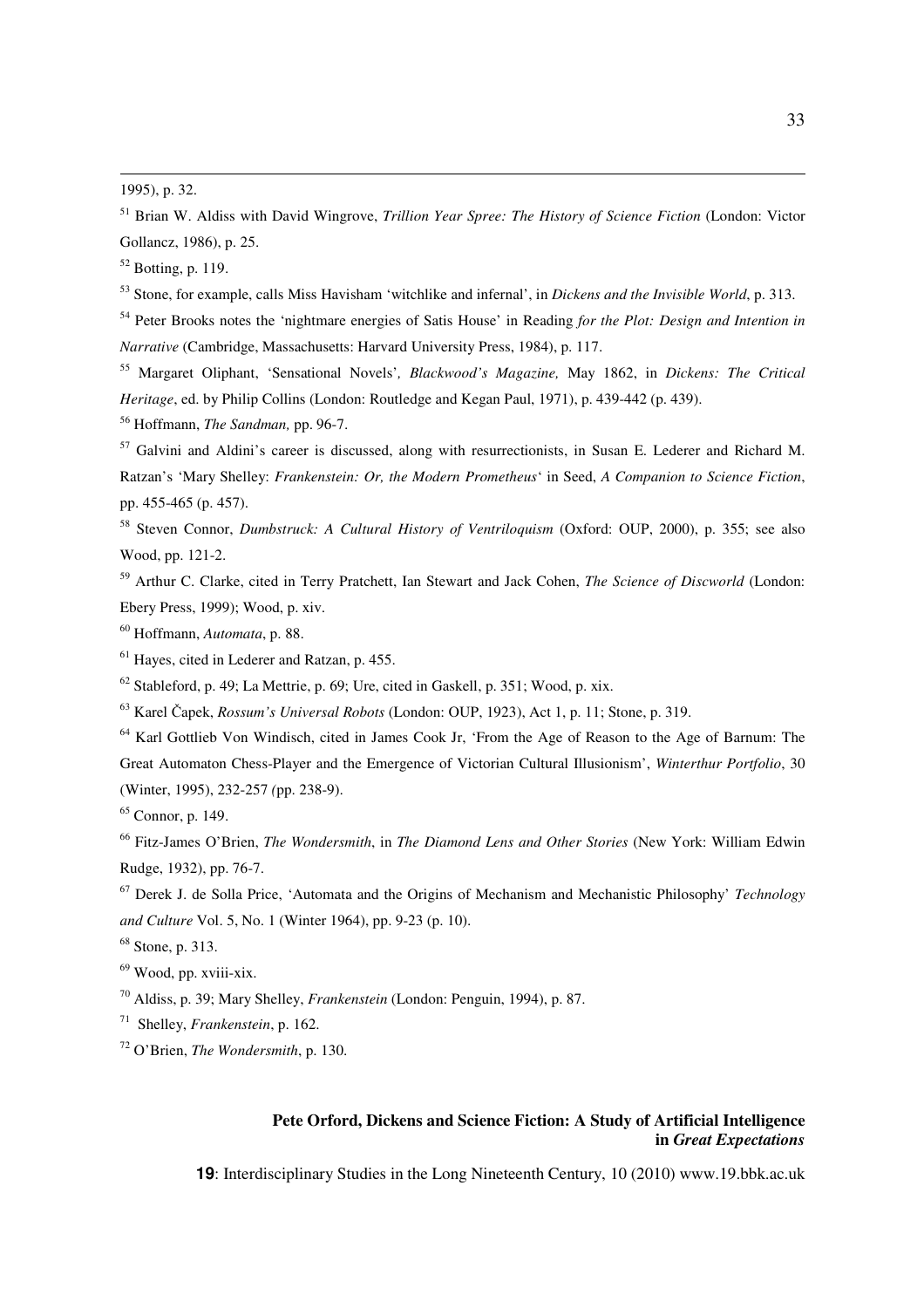$\overline{a}$ 

 Brian W. Aldiss with David Wingrove, *Trillion Year Spree: The History of Science Fiction* (London: Victor Gollancz, 1986), p. 25.

Botting, p. 119.

Stone, for example, calls Miss Havisham 'witchlike and infernal', in *Dickens and the Invisible World*, p. 313.

 Peter Brooks notes the 'nightmare energies of Satis House' in Reading *for the Plot: Design and Intention in Narrative* (Cambridge, Massachusetts: Harvard University Press, 1984), p. 117.

 Margaret Oliphant, 'Sensational Novels'*, Blackwood's Magazine,* May 1862, in *Dickens: The Critical Heritage*, ed. by Philip Collins (London: Routledge and Kegan Paul, 1971), p. 439-442 (p. 439).

Hoffmann, *The Sandman,* pp. 96-7.

 Galvini and Aldini's career is discussed, along with resurrectionists, in Susan E. Lederer and Richard M. Ratzan's 'Mary Shelley: *Frankenstein: Or, the Modern Prometheus*' in Seed, *A Companion to Science Fiction*, pp. 455-465 (p. 457).

 Steven Connor, *Dumbstruck: A Cultural History of Ventriloquism* (Oxford: OUP, 2000), p. 355; see also Wood, pp. 121-2.

 Arthur C. Clarke, cited in Terry Pratchett, Ian Stewart and Jack Cohen, *The Science of Discworld* (London: Ebery Press, 1999); Wood, p. xiv.

Hoffmann, *Automata*, p. 88.

Hayes, cited in Lederer and Ratzan, p. 455.

Stableford, p. 49; La Mettrie, p. 69; Ure, cited in Gaskell, p. 351; Wood, p. xix.

Karel Čapek, *Rossum's Universal Robots* (London: OUP, 1923), Act 1, p. 11; Stone, p. 319.

 Karl Gottlieb Von Windisch, cited in James Cook Jr, 'From the Age of Reason to the Age of Barnum: The Great Automaton Chess-Player and the Emergence of Victorian Cultural Illusionism', *Winterthur Portfolio*, 30 (Winter, 1995), 232-257 *(*pp. 238-9).

Connor, p. 149.

 Fitz-James O'Brien, *The Wondersmith*, in *The Diamond Lens and Other Stories* (New York: William Edwin Rudge, 1932), pp. 76-7.

 Derek J. de Solla Price, 'Automata and the Origins of Mechanism and Mechanistic Philosophy' *Technology and Culture* Vol. 5, No. 1 (Winter 1964), pp. 9-23 (p. 10).

Stone, p. 313.

Wood, pp. xviii-xix.

Aldiss, p. 39; Mary Shelley, *Frankenstein* (London: Penguin, 1994), p. 87.

Shelley, *Frankenstein*, p. 162.

O'Brien, *The Wondersmith*, p. 130.

### **Pete Orford, Dickens and Science Fiction: A Study of Artificial Intelligence in** *Great Expectations*

<sup>1995),</sup> p. 32.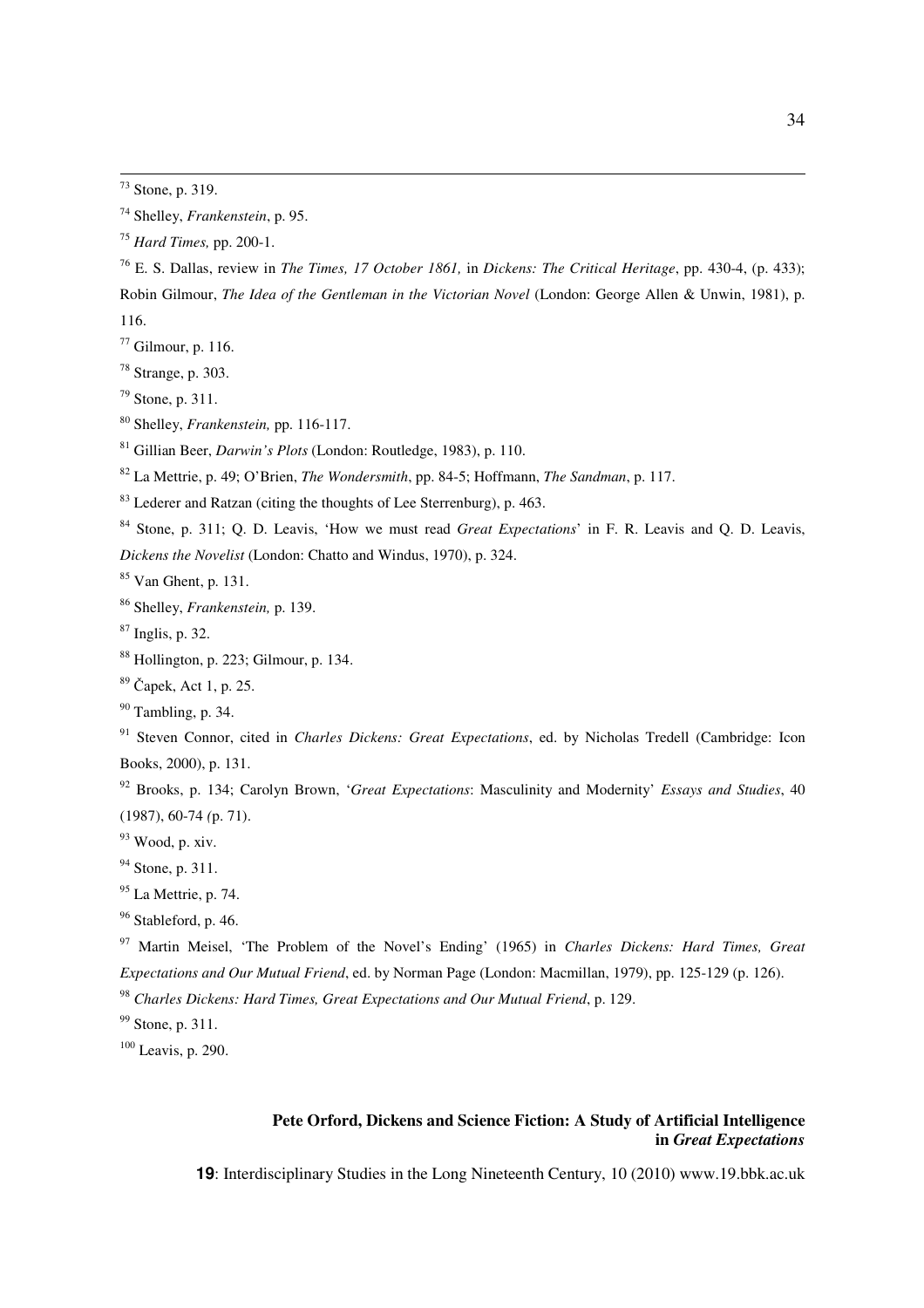$\overline{a}$ 

 E. S. Dallas, review in *The Times, 17 October 1861,* in *Dickens: The Critical Heritage*, pp. 430-4, (p. 433); Robin Gilmour, *The Idea of the Gentleman in the Victorian Novel* (London: George Allen & Unwin, 1981), p. 116.

- Gilmour, p. 116.
- Strange, p. 303.
- Stone, p. 311.
- Shelley, *Frankenstein,* pp. 116-117.
- Gillian Beer, *Darwin's Plots* (London: Routledge, 1983), p. 110.
- La Mettrie, p. 49; O'Brien, *The Wondersmith*, pp. 84-5; Hoffmann, *The Sandman*, p. 117.
- Lederer and Ratzan (citing the thoughts of Lee Sterrenburg), p. 463.
- Stone, p. 311; Q. D. Leavis, 'How we must read *Great Expectations*' in F. R. Leavis and Q. D. Leavis, *Dickens the Novelist* (London: Chatto and Windus, 1970), p. 324.

Van Ghent, p. 131.

Shelley, *Frankenstein,* p. 139.

- Inglis, p. 32.
- Hollington, p. 223; Gilmour, p. 134.
- Čapek, Act 1, p. 25.
- Tambling, p. 34.

 Steven Connor, cited in *Charles Dickens: Great Expectations*, ed. by Nicholas Tredell (Cambridge: Icon Books, 2000), p. 131.

 Brooks, p. 134; Carolyn Brown, '*Great Expectations*: Masculinity and Modernity' *Essays and Studies*, 40 (1987), 60-74 *(*p. 71).

Wood, p. xiv.

<sup>94</sup> Stone, p. 311.

- <sup>95</sup> La Mettrie, p. 74.
- <sup>96</sup> Stableford, p. 46.

 Martin Meisel, 'The Problem of the Novel's Ending' (1965) in *Charles Dickens: Hard Times, Great Expectations and Our Mutual Friend*, ed. by Norman Page (London: Macmillan, 1979), pp. 125-129 (p. 126).

*Charles Dickens: Hard Times, Great Expectations and Our Mutual Friend*, p. 129.

<sup>99</sup> Stone, p. 311.

Leavis, p. 290.

### **Pete Orford, Dickens and Science Fiction: A Study of Artificial Intelligence in** *Great Expectations*

Stone, p. 319.

Shelley, *Frankenstein*, p. 95.

*Hard Times,* pp. 200-1.